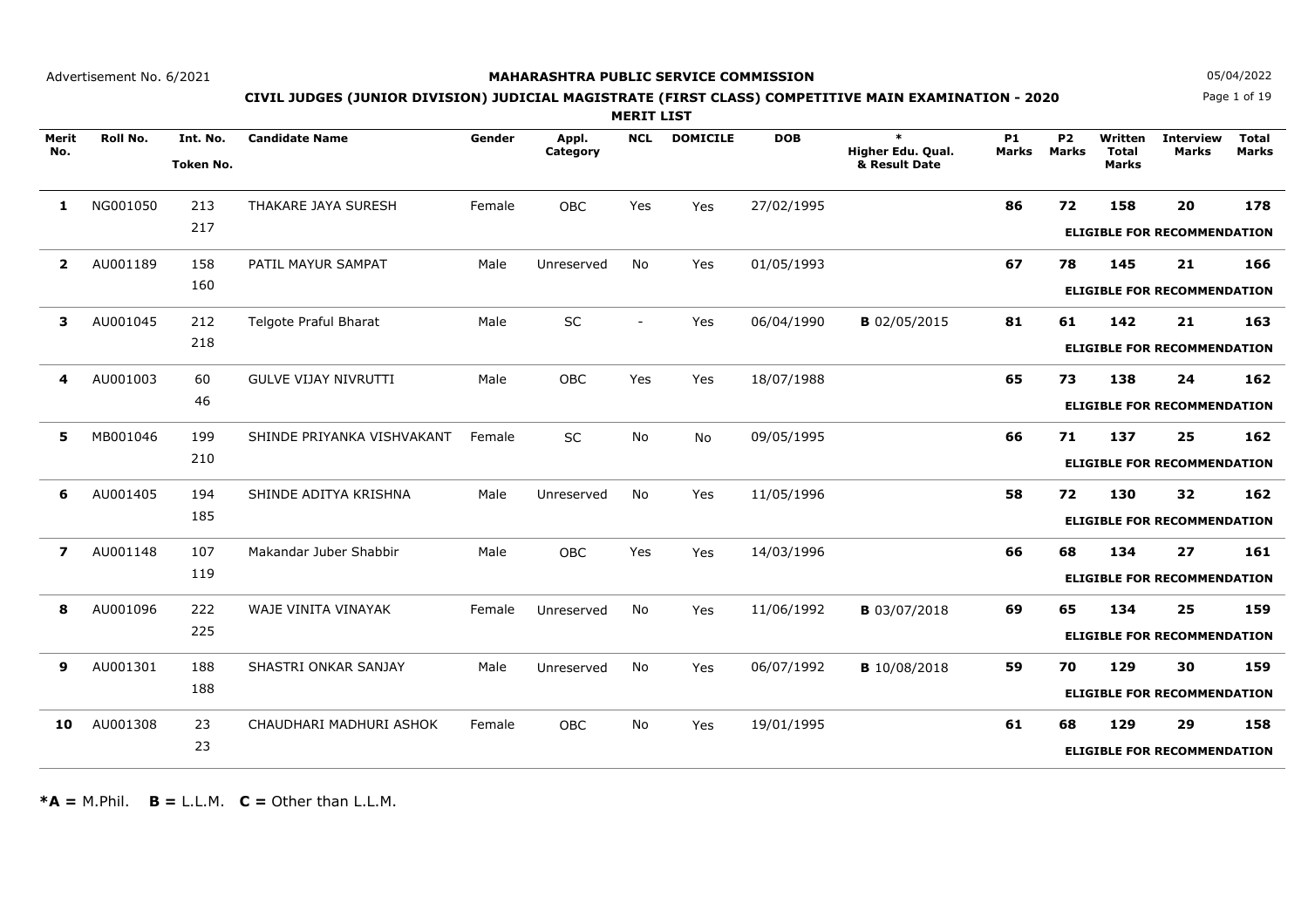### **MAHARASHTRA PUBLIC SERVICE COMMISSION**

Page 1 of 19**N** 05/04/2022

# **CIVIL JUDGES (JUNIOR DIVISION) JUDICIAL MAGISTRATE (FIRST CLASS) COMPETITIVE MAIN EXAMINATION - 2020**

**MERIT LIST**

| Merit<br>No.     | Roll No. | Int. No.<br><b>Token No.</b> | <b>Candidate Name</b>       | Gender | Appl.<br>Category | <b>NCL</b>     | <b>DOMICILE</b> | <b>DOB</b> | $\ast$<br>Higher Edu. Qual.<br>& Result Date | <b>P1</b><br><b>Marks</b> | <b>P2</b><br><b>Marks</b> | Written<br><b>Total</b><br><b>Marks</b> | <b>Interview</b><br><b>Marks</b>         | <b>Total</b><br><b>Marks</b> |
|------------------|----------|------------------------------|-----------------------------|--------|-------------------|----------------|-----------------|------------|----------------------------------------------|---------------------------|---------------------------|-----------------------------------------|------------------------------------------|------------------------------|
| 1                | NG001050 | 213<br>217                   | THAKARE JAYA SURESH         | Female | OBC               | Yes            | Yes             | 27/02/1995 |                                              | 86                        | 72                        | 158                                     | 20<br><b>ELIGIBLE FOR RECOMMENDATION</b> | 178                          |
| $\mathbf{2}$     | AU001189 | 158<br>160                   | PATIL MAYUR SAMPAT          | Male   | Unreserved        | No             | Yes             | 01/05/1993 |                                              | 67                        | 78                        | 145                                     | 21<br><b>ELIGIBLE FOR RECOMMENDATION</b> | 166                          |
| 3                | AU001045 | 212<br>218                   | Telgote Praful Bharat       | Male   | <b>SC</b>         | $\blacksquare$ | Yes             | 06/04/1990 | <b>B</b> 02/05/2015                          | 81                        | 61                        | 142                                     | 21<br><b>ELIGIBLE FOR RECOMMENDATION</b> | 163                          |
| 4                | AU001003 | 60<br>46                     | <b>GULVE VIJAY NIVRUTTI</b> | Male   | OBC               | Yes            | Yes             | 18/07/1988 |                                              | 65                        | 73                        | 138                                     | 24<br><b>ELIGIBLE FOR RECOMMENDATION</b> | 162                          |
| 5                | MB001046 | 199<br>210                   | SHINDE PRIYANKA VISHVAKANT  | Female | <b>SC</b>         | No             | <b>No</b>       | 09/05/1995 |                                              | 66                        | 71                        | 137                                     | 25<br><b>ELIGIBLE FOR RECOMMENDATION</b> | 162                          |
| 6                | AU001405 | 194<br>185                   | SHINDE ADITYA KRISHNA       | Male   | Unreserved        | No             | Yes             | 11/05/1996 |                                              | 58                        | 72                        | 130                                     | 32<br><b>ELIGIBLE FOR RECOMMENDATION</b> | 162                          |
| $\boldsymbol{7}$ | AU001148 | 107<br>119                   | Makandar Juber Shabbir      | Male   | <b>OBC</b>        | Yes            | Yes             | 14/03/1996 |                                              | 66                        | 68                        | 134                                     | 27<br><b>ELIGIBLE FOR RECOMMENDATION</b> | 161                          |
| 8                | AU001096 | 222<br>225                   | WAJE VINITA VINAYAK         | Female | Unreserved        | <b>No</b>      | Yes             | 11/06/1992 | <b>B</b> 03/07/2018                          | 69                        | 65                        | 134                                     | 25<br><b>ELIGIBLE FOR RECOMMENDATION</b> | 159                          |
| 9                | AU001301 | 188<br>188                   | SHASTRI ONKAR SANJAY        | Male   | Unreserved        | No             | Yes             | 06/07/1992 | <b>B</b> 10/08/2018                          | 59                        | 70                        | 129                                     | 30<br><b>ELIGIBLE FOR RECOMMENDATION</b> | 159                          |
| 10               | AU001308 | 23<br>23                     | CHAUDHARI MADHURI ASHOK     | Female | <b>OBC</b>        | No             | Yes             | 19/01/1995 |                                              | 61                        | 68                        | 129                                     | 29<br><b>ELIGIBLE FOR RECOMMENDATION</b> | 158                          |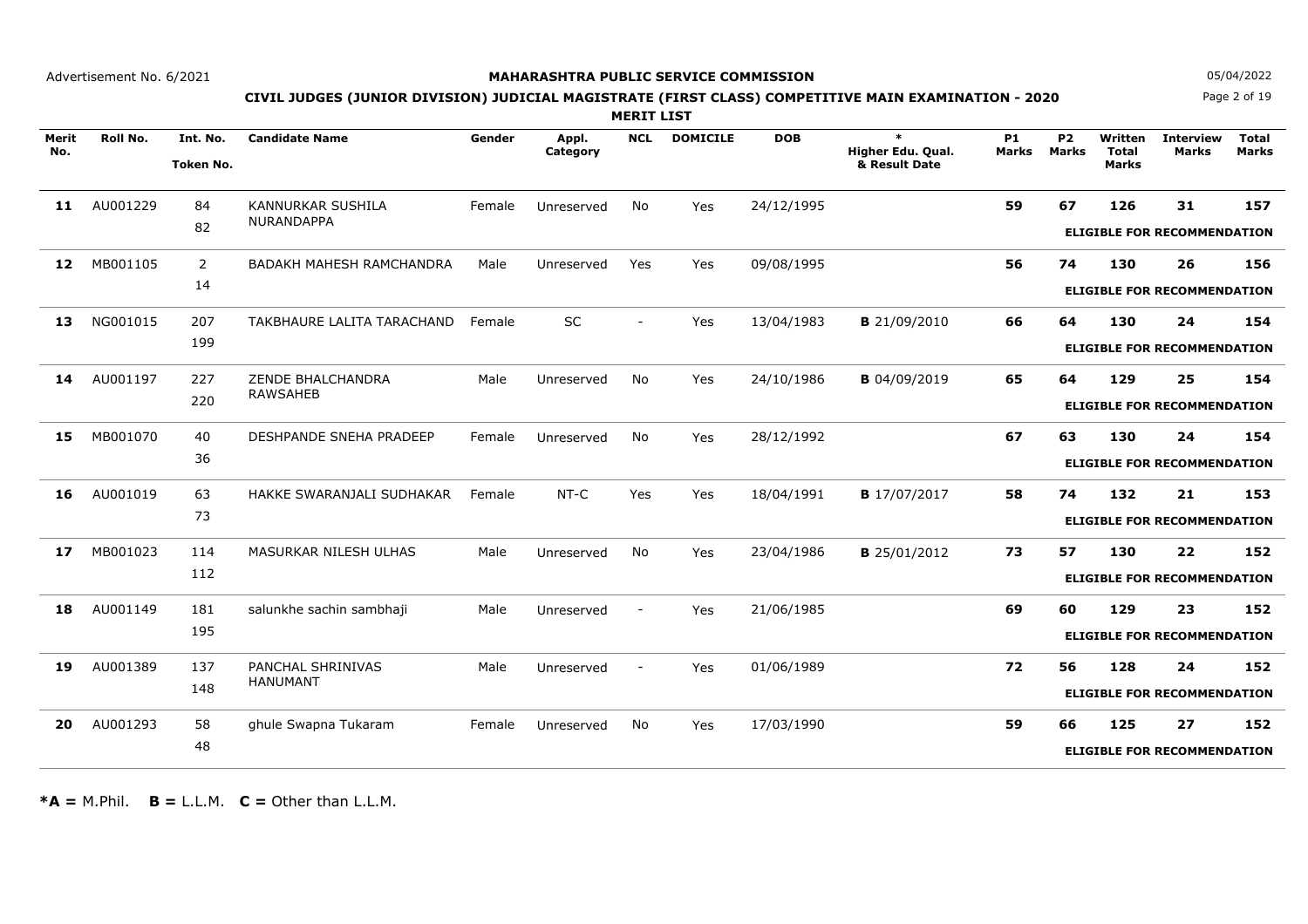### **MAHARASHTRA PUBLIC SERVICE COMMISSION**

Page 2 of 19**N** 05/04/2022

# **CIVIL JUDGES (JUNIOR DIVISION) JUDICIAL MAGISTRATE (FIRST CLASS) COMPETITIVE MAIN EXAMINATION - 2020**

**MERIT LIST**

| Merit | <b>Roll No.</b> | Int. No.         | <b>Candidate Name</b>           | Gender | Appl.      | <b>NCL</b>               | <b>DOMICILE</b> | <b>DOB</b> | $\ast$              | <b>P1</b>    | P <sub>2</sub> | Written      | <b>Interview</b>                   | <b>Total</b> |
|-------|-----------------|------------------|---------------------------------|--------|------------|--------------------------|-----------------|------------|---------------------|--------------|----------------|--------------|------------------------------------|--------------|
| No.   |                 |                  |                                 |        | Category   |                          |                 |            | Higher Edu. Qual.   | <b>Marks</b> | <b>Marks</b>   | <b>Total</b> | <b>Marks</b>                       | <b>Marks</b> |
|       |                 | <b>Token No.</b> |                                 |        |            |                          |                 |            | & Result Date       |              |                | <b>Marks</b> |                                    |              |
| 11    | AU001229        | 84               | <b>KANNURKAR SUSHILA</b>        | Female | Unreserved | <b>No</b>                | Yes             | 24/12/1995 |                     | 59           | 67             | 126          | 31                                 | 157          |
|       |                 | 82               | <b>NURANDAPPA</b>               |        |            |                          |                 |            |                     |              |                |              |                                    |              |
|       |                 |                  |                                 |        |            |                          |                 |            |                     |              |                |              | <b>ELIGIBLE FOR RECOMMENDATION</b> |              |
| 12    | MB001105        | $\overline{2}$   | <b>BADAKH MAHESH RAMCHANDRA</b> | Male   | Unreserved | Yes                      | Yes             | 09/08/1995 |                     | 56           | 74             | 130          | 26                                 | 156          |
|       |                 | 14               |                                 |        |            |                          |                 |            |                     |              |                |              | <b>ELIGIBLE FOR RECOMMENDATION</b> |              |
|       |                 |                  |                                 |        |            |                          |                 |            |                     |              |                |              |                                    |              |
| 13    | NG001015        | 207              | TAKBHAURE LALITA TARACHAND      | Female | SC         |                          | Yes             | 13/04/1983 | <b>B</b> 21/09/2010 | 66           | 64             | 130          | 24                                 | 154          |
|       |                 | 199              |                                 |        |            |                          |                 |            |                     |              |                |              | <b>ELIGIBLE FOR RECOMMENDATION</b> |              |
|       |                 |                  |                                 |        |            |                          |                 |            |                     |              |                |              |                                    |              |
| 14    | AU001197        | 227              | ZENDE BHALCHANDRA               | Male   | Unreserved | No                       | Yes             | 24/10/1986 | <b>B</b> 04/09/2019 | 65           | 64             | 129          | 25                                 | 154          |
|       |                 | 220              | <b>RAWSAHEB</b>                 |        |            |                          |                 |            |                     |              |                |              | <b>ELIGIBLE FOR RECOMMENDATION</b> |              |
|       |                 |                  |                                 |        |            |                          |                 |            |                     |              |                |              |                                    |              |
| 15    | MB001070        | 40               | <b>DESHPANDE SNEHA PRADEEP</b>  | Female | Unreserved | No                       | Yes             | 28/12/1992 |                     | 67           | 63             | 130          | 24                                 | 154          |
|       |                 | 36               |                                 |        |            |                          |                 |            |                     |              |                |              | <b>ELIGIBLE FOR RECOMMENDATION</b> |              |
|       |                 |                  |                                 |        |            |                          |                 |            |                     |              |                |              |                                    |              |
| 16    | AU001019        | 63               | HAKKE SWARANJALI SUDHAKAR       | Female | NT-C       | Yes                      | Yes             | 18/04/1991 | <b>B</b> 17/07/2017 | 58           | 74             | 132          | 21                                 | 153          |
|       |                 | 73               |                                 |        |            |                          |                 |            |                     |              |                |              | <b>ELIGIBLE FOR RECOMMENDATION</b> |              |
|       |                 |                  |                                 |        |            |                          |                 |            |                     |              |                |              |                                    |              |
| 17    | MB001023        | 114              | MASURKAR NILESH ULHAS           | Male   | Unreserved | <b>No</b>                | Yes             | 23/04/1986 | <b>B</b> 25/01/2012 | 73           | 57             | 130          | 22                                 | 152          |
|       |                 | 112              |                                 |        |            |                          |                 |            |                     |              |                |              | <b>ELIGIBLE FOR RECOMMENDATION</b> |              |
|       |                 |                  |                                 |        |            |                          |                 |            |                     |              |                |              |                                    |              |
| 18    | AU001149        | 181              | salunkhe sachin sambhaji        | Male   | Unreserved | $\overline{\phantom{a}}$ | Yes             | 21/06/1985 |                     | 69           | 60             | 129          | 23                                 | 152          |
|       |                 | 195              |                                 |        |            |                          |                 |            |                     |              |                |              | <b>ELIGIBLE FOR RECOMMENDATION</b> |              |
|       |                 |                  |                                 |        |            |                          |                 |            |                     |              |                |              |                                    |              |
| 19    | AU001389        | 137              | PANCHAL SHRINIVAS               | Male   | Unreserved | $\overline{\phantom{a}}$ | Yes             | 01/06/1989 |                     | 72           | 56             | 128          | 24                                 | 152          |
|       |                 | 148              | <b>HANUMANT</b>                 |        |            |                          |                 |            |                     |              |                |              | <b>ELIGIBLE FOR RECOMMENDATION</b> |              |
|       |                 |                  |                                 |        |            |                          |                 |            |                     |              |                |              |                                    |              |
| 20    | AU001293        | 58               | ghule Swapna Tukaram            | Female | Unreserved | No                       | Yes             | 17/03/1990 |                     | 59           | 66             | 125          | 27                                 | 152          |
|       |                 | 48               |                                 |        |            |                          |                 |            |                     |              |                |              | <b>ELIGIBLE FOR RECOMMENDATION</b> |              |
|       |                 |                  |                                 |        |            |                          |                 |            |                     |              |                |              |                                    |              |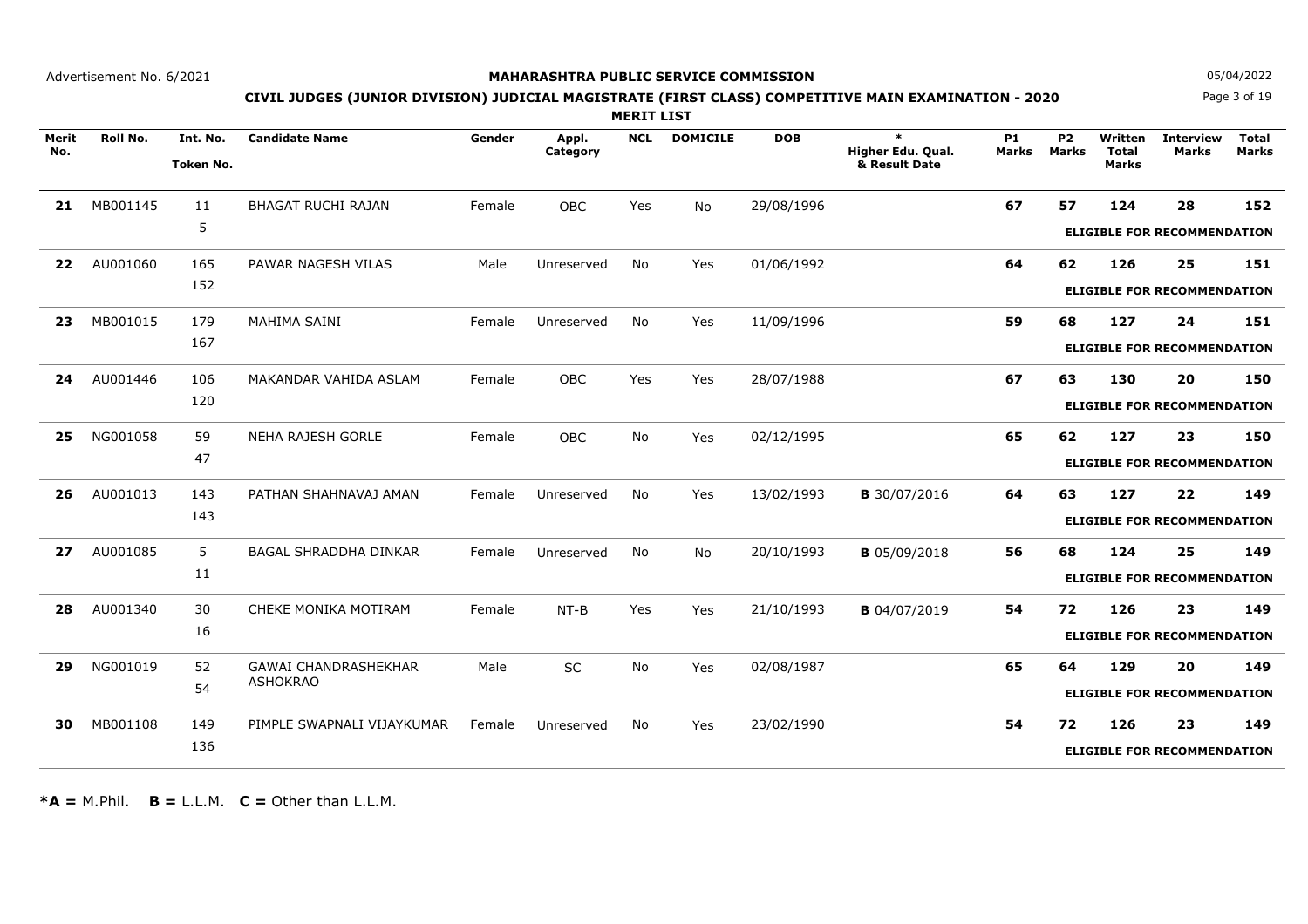### **MAHARASHTRA PUBLIC SERVICE COMMISSION**

Page 3 of 19**N** 05/04/2022

# **CIVIL JUDGES (JUNIOR DIVISION) JUDICIAL MAGISTRATE (FIRST CLASS) COMPETITIVE MAIN EXAMINATION - 2020**

**MERIT LIST**

| Merit<br>No. | Roll No. | Int. No.<br>Token No. | <b>Candidate Name</b>        | Gender | Appl.<br>Category | <b>NCL</b> | <b>DOMICILE</b> | <b>DOB</b> | $\ast$<br>Higher Edu. Qual.<br>& Result Date | <b>P1</b><br><b>Marks</b> | <b>P2</b><br><b>Marks</b> | Written<br><b>Total</b><br><b>Marks</b> | <b>Interview</b><br>Marks          | <b>Total</b><br><b>Marks</b> |
|--------------|----------|-----------------------|------------------------------|--------|-------------------|------------|-----------------|------------|----------------------------------------------|---------------------------|---------------------------|-----------------------------------------|------------------------------------|------------------------------|
| 21           | MB001145 | 11                    | <b>BHAGAT RUCHI RAJAN</b>    | Female | <b>OBC</b>        | Yes        | <b>No</b>       | 29/08/1996 |                                              | 67                        | 57                        | 124                                     | 28                                 | 152                          |
|              |          | 5                     |                              |        |                   |            |                 |            |                                              |                           |                           |                                         | <b>ELIGIBLE FOR RECOMMENDATION</b> |                              |
| 22           | AU001060 | 165                   | PAWAR NAGESH VILAS           | Male   | Unreserved        | No         | Yes             | 01/06/1992 |                                              | 64                        | 62                        | 126                                     | 25                                 | 151                          |
|              |          | 152                   |                              |        |                   |            |                 |            |                                              |                           |                           |                                         | <b>ELIGIBLE FOR RECOMMENDATION</b> |                              |
| 23           | MB001015 | 179                   | MAHIMA SAINI                 | Female | Unreserved        | No         | Yes             | 11/09/1996 |                                              | 59                        | 68                        | 127                                     | 24                                 | 151                          |
|              |          | 167                   |                              |        |                   |            |                 |            |                                              |                           |                           |                                         | <b>ELIGIBLE FOR RECOMMENDATION</b> |                              |
| 24           | AU001446 | 106                   | MAKANDAR VAHIDA ASLAM        | Female | <b>OBC</b>        | Yes        | Yes             | 28/07/1988 |                                              | 67                        | 63                        | 130                                     | 20                                 | 150                          |
|              |          | 120                   |                              |        |                   |            |                 |            |                                              |                           |                           |                                         | <b>ELIGIBLE FOR RECOMMENDATION</b> |                              |
| 25           | NG001058 | 59                    | <b>NEHA RAJESH GORLE</b>     | Female | <b>OBC</b>        | <b>No</b>  | Yes             | 02/12/1995 |                                              | 65                        | 62                        | 127                                     | 23                                 | 150                          |
|              |          | 47                    |                              |        |                   |            |                 |            |                                              |                           |                           |                                         | <b>ELIGIBLE FOR RECOMMENDATION</b> |                              |
| 26           | AU001013 | 143                   | PATHAN SHAHNAVAJ AMAN        | Female | Unreserved        | <b>No</b>  | Yes             | 13/02/1993 | <b>B</b> 30/07/2016                          | 64                        | 63                        | 127                                     | 22                                 | 149                          |
|              |          | 143                   |                              |        |                   |            |                 |            |                                              |                           |                           |                                         | <b>ELIGIBLE FOR RECOMMENDATION</b> |                              |
| 27           | AU001085 | $5^{\circ}$           | <b>BAGAL SHRADDHA DINKAR</b> | Female | Unreserved        | <b>No</b>  | No              | 20/10/1993 | <b>B</b> 05/09/2018                          | 56                        | 68                        | 124                                     | 25                                 | 149                          |
|              |          | 11                    |                              |        |                   |            |                 |            |                                              |                           |                           |                                         | <b>ELIGIBLE FOR RECOMMENDATION</b> |                              |
| 28           | AU001340 | 30                    | CHEKE MONIKA MOTIRAM         | Female | $NT-B$            | Yes        | Yes             | 21/10/1993 | <b>B</b> 04/07/2019                          | 54                        | 72                        | 126                                     | 23                                 | 149                          |
|              |          | 16                    |                              |        |                   |            |                 |            |                                              |                           |                           |                                         | <b>ELIGIBLE FOR RECOMMENDATION</b> |                              |
| 29           | NG001019 | 52                    | <b>GAWAI CHANDRASHEKHAR</b>  | Male   | <b>SC</b>         | <b>No</b>  | Yes             | 02/08/1987 |                                              | 65                        | 64                        | 129                                     | 20                                 | 149                          |
|              |          | 54                    | <b>ASHOKRAO</b>              |        |                   |            |                 |            |                                              |                           |                           |                                         | <b>ELIGIBLE FOR RECOMMENDATION</b> |                              |
| 30           | MB001108 | 149                   | PIMPLE SWAPNALI VIJAYKUMAR   | Female | Unreserved        | <b>No</b>  | Yes             | 23/02/1990 |                                              | 54                        | 72                        | 126                                     | 23                                 | 149                          |
|              |          | 136                   |                              |        |                   |            |                 |            |                                              |                           |                           |                                         | <b>ELIGIBLE FOR RECOMMENDATION</b> |                              |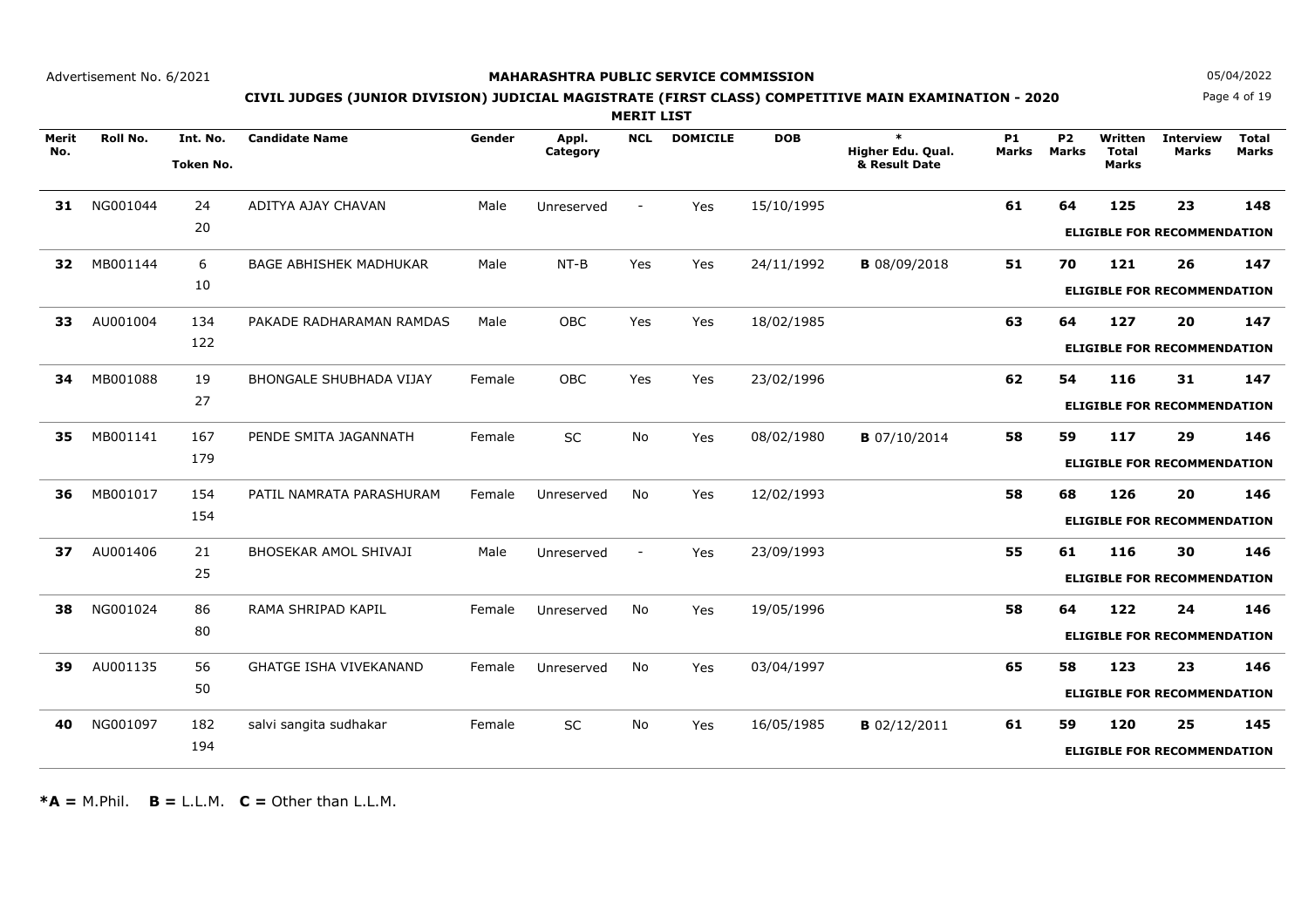### **MAHARASHTRA PUBLIC SERVICE COMMISSION**

Page 4 of 19**N** 05/04/2022

# **CIVIL JUDGES (JUNIOR DIVISION) JUDICIAL MAGISTRATE (FIRST CLASS) COMPETITIVE MAIN EXAMINATION - 2020**

**MERIT LIST**

|              |                 |                  |                                |        |                   |                |                 |            | $\ast$              |                           |                                |                         |                                    |                              |
|--------------|-----------------|------------------|--------------------------------|--------|-------------------|----------------|-----------------|------------|---------------------|---------------------------|--------------------------------|-------------------------|------------------------------------|------------------------------|
| Merit<br>No. | <b>Roll No.</b> | Int. No.         | <b>Candidate Name</b>          | Gender | Appl.<br>Category | <b>NCL</b>     | <b>DOMICILE</b> | <b>DOB</b> | Higher Edu. Qual.   | <b>P1</b><br><b>Marks</b> | P <sub>2</sub><br><b>Marks</b> | Written<br><b>Total</b> | <b>Interview</b><br><b>Marks</b>   | <b>Total</b><br><b>Marks</b> |
|              |                 | <b>Token No.</b> |                                |        |                   |                |                 |            | & Result Date       |                           |                                | <b>Marks</b>            |                                    |                              |
| 31           | NG001044        | 24               | ADITYA AJAY CHAVAN             | Male   | Unreserved        | $\blacksquare$ | Yes             | 15/10/1995 |                     | 61                        | 64                             | 125                     | 23                                 | 148                          |
|              |                 | 20               |                                |        |                   |                |                 |            |                     |                           |                                |                         |                                    |                              |
|              |                 |                  |                                |        |                   |                |                 |            |                     |                           |                                |                         | <b>ELIGIBLE FOR RECOMMENDATION</b> |                              |
| 32           | MB001144        | 6                | <b>BAGE ABHISHEK MADHUKAR</b>  | Male   | $NT-B$            | Yes            | Yes             | 24/11/1992 | <b>B</b> 08/09/2018 | 51                        | 70                             | 121                     | 26                                 | 147                          |
|              |                 | 10               |                                |        |                   |                |                 |            |                     |                           |                                |                         | <b>ELIGIBLE FOR RECOMMENDATION</b> |                              |
| 33           | AU001004        | 134              | PAKADE RADHARAMAN RAMDAS       | Male   | OBC               | Yes            | Yes             | 18/02/1985 |                     | 63                        | 64                             | 127                     | 20                                 | 147                          |
|              |                 | 122              |                                |        |                   |                |                 |            |                     |                           |                                |                         | <b>ELIGIBLE FOR RECOMMENDATION</b> |                              |
| 34           | MB001088        | 19               | <b>BHONGALE SHUBHADA VIJAY</b> | Female | <b>OBC</b>        | Yes            | Yes             | 23/02/1996 |                     | 62                        | 54                             | 116                     | 31                                 | 147                          |
|              |                 | 27               |                                |        |                   |                |                 |            |                     |                           |                                |                         | <b>ELIGIBLE FOR RECOMMENDATION</b> |                              |
|              |                 |                  |                                |        |                   |                |                 |            |                     |                           |                                |                         |                                    |                              |
| 35           | MB001141        | 167              | PENDE SMITA JAGANNATH          | Female | <b>SC</b>         | <b>No</b>      | Yes             | 08/02/1980 | <b>B</b> 07/10/2014 | 58                        | 59                             | 117                     | 29                                 | 146                          |
|              |                 | 179              |                                |        |                   |                |                 |            |                     |                           |                                |                         | <b>ELIGIBLE FOR RECOMMENDATION</b> |                              |
| 36           | MB001017        | 154              | PATIL NAMRATA PARASHURAM       | Female | Unreserved        | No             | Yes             | 12/02/1993 |                     | 58                        | 68                             | 126                     | 20                                 | 146                          |
|              |                 | 154              |                                |        |                   |                |                 |            |                     |                           |                                |                         | <b>ELIGIBLE FOR RECOMMENDATION</b> |                              |
| 37           | AU001406        | 21               | <b>BHOSEKAR AMOL SHIVAJI</b>   | Male   | Unreserved        |                | Yes             | 23/09/1993 |                     | 55                        | 61                             | 116                     | 30                                 | 146                          |
|              |                 | 25               |                                |        |                   |                |                 |            |                     |                           |                                |                         | <b>ELIGIBLE FOR RECOMMENDATION</b> |                              |
| 38           | NG001024        | 86               | RAMA SHRIPAD KAPIL             | Female | Unreserved        | <b>No</b>      | Yes             | 19/05/1996 |                     | 58                        | 64                             | 122                     | 24                                 | 146                          |
|              |                 | 80               |                                |        |                   |                |                 |            |                     |                           |                                |                         | <b>ELIGIBLE FOR RECOMMENDATION</b> |                              |
| 39           | AU001135        | 56               | <b>GHATGE ISHA VIVEKANAND</b>  | Female | Unreserved        | No             | Yes             | 03/04/1997 |                     | 65                        | 58                             | 123                     | 23                                 | 146                          |
|              |                 | 50               |                                |        |                   |                |                 |            |                     |                           |                                |                         | <b>ELIGIBLE FOR RECOMMENDATION</b> |                              |
| 40           | NG001097        | 182              | salvi sangita sudhakar         | Female | SC                | No             | Yes             | 16/05/1985 | <b>B</b> 02/12/2011 | 61                        | 59                             | 120                     | 25                                 | 145                          |
|              |                 | 194              |                                |        |                   |                |                 |            |                     |                           |                                |                         | <b>ELIGIBLE FOR RECOMMENDATION</b> |                              |
|              |                 |                  |                                |        |                   |                |                 |            |                     |                           |                                |                         |                                    |                              |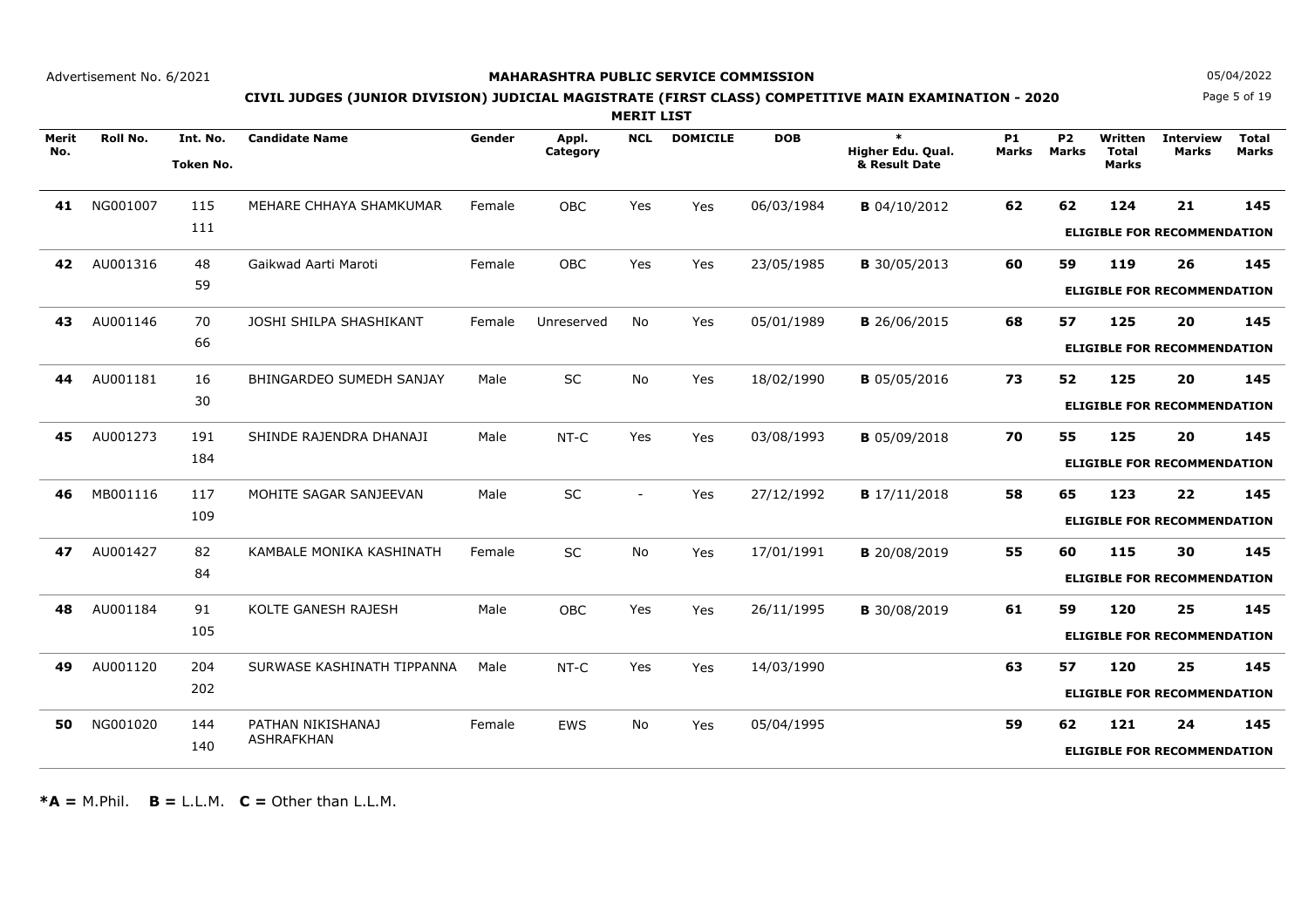### **MAHARASHTRA PUBLIC SERVICE COMMISSION**

Page 5 of 19**N** 05/04/2022

# **CIVIL JUDGES (JUNIOR DIVISION) JUDICIAL MAGISTRATE (FIRST CLASS) COMPETITIVE MAIN EXAMINATION - 2020**

**MERIT LIST**

| Merit<br>No. | <b>Roll No.</b> | Int. No.         | <b>Candidate Name</b>      | Gender | Appl.<br>Category | <b>NCL</b>               | <b>DOMICILE</b> | <b>DOB</b> | $\ast$<br>Higher Edu. Qual. | <b>P1</b><br><b>Marks</b> | P <sub>2</sub><br><b>Marks</b> | Written<br><b>Total</b> | <b>Interview</b><br><b>Marks</b>   | <b>Total</b><br><b>Marks</b> |
|--------------|-----------------|------------------|----------------------------|--------|-------------------|--------------------------|-----------------|------------|-----------------------------|---------------------------|--------------------------------|-------------------------|------------------------------------|------------------------------|
|              |                 | <b>Token No.</b> |                            |        |                   |                          |                 |            | & Result Date               |                           |                                | <b>Marks</b>            |                                    |                              |
| 41           | NG001007        | 115              | MEHARE CHHAYA SHAMKUMAR    | Female | <b>OBC</b>        | Yes                      | Yes             | 06/03/1984 | <b>B</b> 04/10/2012         | 62                        | 62                             | 124                     | 21                                 | 145                          |
|              |                 | 111              |                            |        |                   |                          |                 |            |                             |                           |                                |                         | <b>ELIGIBLE FOR RECOMMENDATION</b> |                              |
| 42           | AU001316        | 48               | Gaikwad Aarti Maroti       | Female | OBC               | Yes                      | Yes             | 23/05/1985 | <b>B</b> 30/05/2013         | 60                        | 59                             | 119                     | 26                                 | 145                          |
|              |                 | 59               |                            |        |                   |                          |                 |            |                             |                           |                                |                         | <b>ELIGIBLE FOR RECOMMENDATION</b> |                              |
|              |                 |                  |                            |        |                   |                          |                 |            |                             |                           |                                |                         |                                    |                              |
| 43           | AU001146        | 70<br>66         | JOSHI SHILPA SHASHIKANT    | Female | Unreserved        | <b>No</b>                | Yes             | 05/01/1989 | <b>B</b> 26/06/2015         | 68                        | 57                             | 125                     | 20                                 | 145                          |
|              |                 |                  |                            |        |                   |                          |                 |            |                             |                           |                                |                         | <b>ELIGIBLE FOR RECOMMENDATION</b> |                              |
| 44           | AU001181        | 16               | BHINGARDEO SUMEDH SANJAY   | Male   | <b>SC</b>         | <b>No</b>                | Yes             | 18/02/1990 | <b>B</b> 05/05/2016         | 73                        | 52                             | 125                     | 20                                 | 145                          |
|              |                 | 30               |                            |        |                   |                          |                 |            |                             |                           |                                |                         | <b>ELIGIBLE FOR RECOMMENDATION</b> |                              |
| 45           | AU001273        | 191              | SHINDE RAJENDRA DHANAJI    | Male   | NT-C              | Yes                      | Yes             | 03/08/1993 | <b>B</b> 05/09/2018         | 70                        | 55                             | 125                     | 20                                 | 145                          |
|              |                 | 184              |                            |        |                   |                          |                 |            |                             |                           |                                |                         | <b>ELIGIBLE FOR RECOMMENDATION</b> |                              |
|              |                 |                  |                            |        |                   |                          |                 |            |                             |                           |                                |                         |                                    |                              |
| 46           | MB001116        | 117              | MOHITE SAGAR SANJEEVAN     | Male   | <b>SC</b>         | $\overline{\phantom{a}}$ | Yes             | 27/12/1992 | <b>B</b> 17/11/2018         | 58                        | 65                             | 123                     | 22                                 | 145                          |
|              |                 | 109              |                            |        |                   |                          |                 |            |                             |                           |                                |                         | <b>ELIGIBLE FOR RECOMMENDATION</b> |                              |
| 47           | AU001427        | 82               | KAMBALE MONIKA KASHINATH   | Female | SC                | No                       | Yes             | 17/01/1991 | <b>B</b> 20/08/2019         | 55                        | 60                             | 115                     | 30                                 | 145                          |
|              |                 | 84               |                            |        |                   |                          |                 |            |                             |                           |                                |                         | <b>ELIGIBLE FOR RECOMMENDATION</b> |                              |
| 48           | AU001184        | 91               | KOLTE GANESH RAJESH        | Male   | <b>OBC</b>        | Yes                      | Yes             | 26/11/1995 | <b>B</b> 30/08/2019         | 61                        | 59                             | 120                     | 25                                 | 145                          |
|              |                 | 105              |                            |        |                   |                          |                 |            |                             |                           |                                |                         |                                    |                              |
|              |                 |                  |                            |        |                   |                          |                 |            |                             |                           |                                |                         | <b>ELIGIBLE FOR RECOMMENDATION</b> |                              |
| 49           | AU001120        | 204              | SURWASE KASHINATH TIPPANNA | Male   | NT-C              | Yes                      | Yes             | 14/03/1990 |                             | 63                        | 57                             | 120                     | 25                                 | 145                          |
|              |                 | 202              |                            |        |                   |                          |                 |            |                             |                           |                                |                         | <b>ELIGIBLE FOR RECOMMENDATION</b> |                              |
| 50           | NG001020        | 144              | PATHAN NIKISHANAJ          | Female | <b>EWS</b>        | No                       | Yes             | 05/04/1995 |                             | 59                        | 62                             | 121                     | 24                                 | 145                          |
|              |                 | 140              | <b>ASHRAFKHAN</b>          |        |                   |                          |                 |            |                             |                           |                                |                         | <b>ELIGIBLE FOR RECOMMENDATION</b> |                              |
|              |                 |                  |                            |        |                   |                          |                 |            |                             |                           |                                |                         |                                    |                              |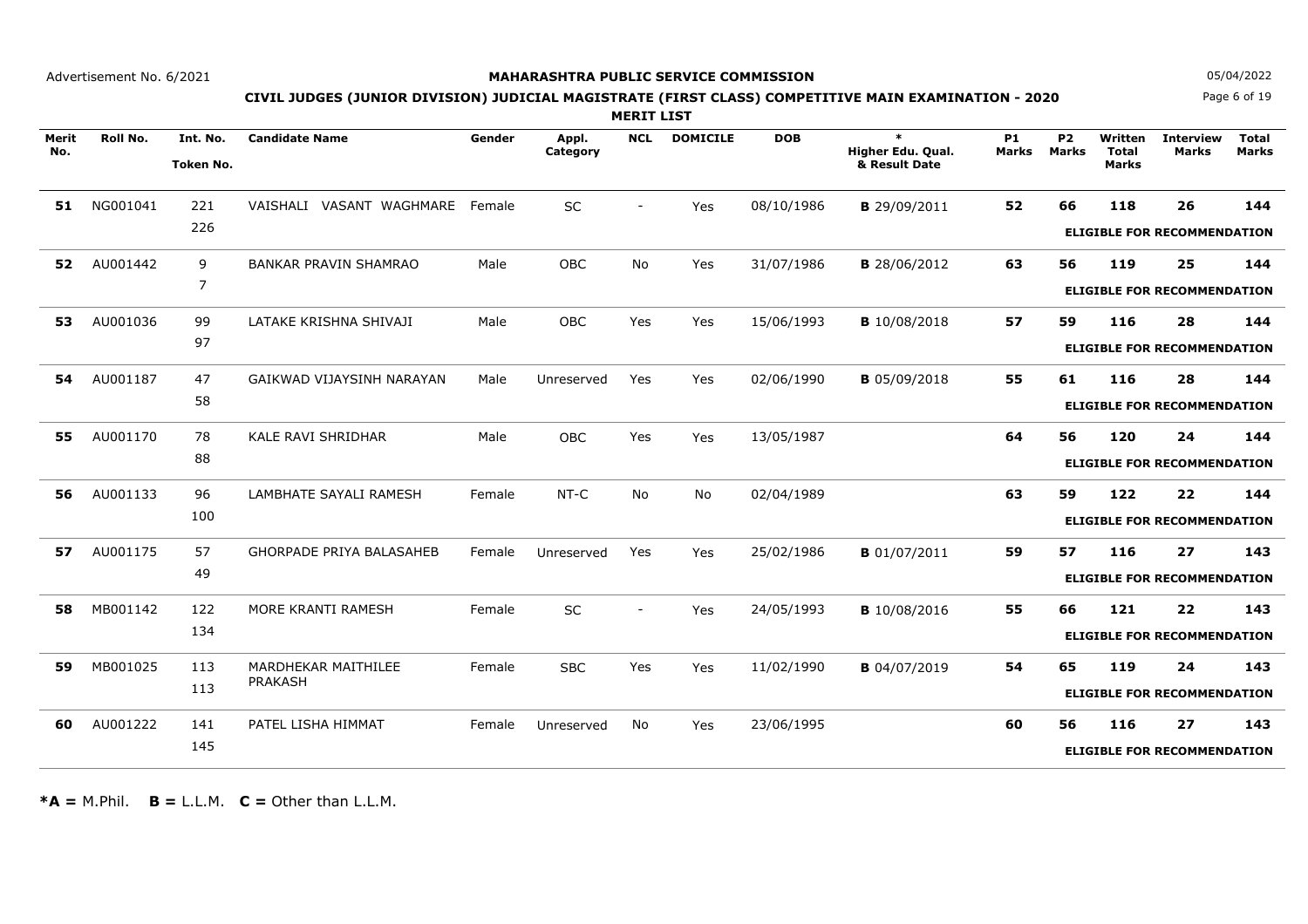### **MAHARASHTRA PUBLIC SERVICE COMMISSION**

Page 6 of 19**N** 05/04/2022

# **CIVIL JUDGES (JUNIOR DIVISION) JUDICIAL MAGISTRATE (FIRST CLASS) COMPETITIVE MAIN EXAMINATION - 2020**

**MERIT LIST**

| Merit<br>No. | Roll No. | Int. No.<br><b>Token No.</b> | <b>Candidate Name</b>           | Gender | Appl.<br>Category | <b>NCL</b>               | <b>DOMICILE</b> | <b>DOB</b> | $\ast$<br>Higher Edu. Qual.<br>& Result Date | <b>P1</b><br><b>Marks</b> | <b>P2</b><br><b>Marks</b> | Written<br><b>Total</b><br><b>Marks</b> | <b>Interview</b><br>Marks          | <b>Total</b><br><b>Marks</b> |
|--------------|----------|------------------------------|---------------------------------|--------|-------------------|--------------------------|-----------------|------------|----------------------------------------------|---------------------------|---------------------------|-----------------------------------------|------------------------------------|------------------------------|
| 51           | NG001041 | 221                          | VAISHALI VASANT WAGHMARE Female |        | SC                |                          | Yes             | 08/10/1986 | <b>B</b> 29/09/2011                          | 52                        | 66                        | 118                                     | 26                                 | 144                          |
|              |          | 226                          |                                 |        |                   |                          |                 |            |                                              |                           |                           |                                         | <b>ELIGIBLE FOR RECOMMENDATION</b> |                              |
| 52           | AU001442 | 9                            | <b>BANKAR PRAVIN SHAMRAO</b>    | Male   | <b>OBC</b>        | <b>No</b>                | Yes             | 31/07/1986 | <b>B</b> 28/06/2012                          | 63                        | 56                        | 119                                     | 25                                 | 144                          |
|              |          | 7                            |                                 |        |                   |                          |                 |            |                                              |                           |                           |                                         | <b>ELIGIBLE FOR RECOMMENDATION</b> |                              |
| 53           | AU001036 | 99                           | LATAKE KRISHNA SHIVAJI          | Male   | <b>OBC</b>        | Yes                      | Yes             | 15/06/1993 | <b>B</b> 10/08/2018                          | 57                        | 59                        | 116                                     | 28                                 | 144                          |
|              |          | 97                           |                                 |        |                   |                          |                 |            |                                              |                           |                           |                                         | <b>ELIGIBLE FOR RECOMMENDATION</b> |                              |
| 54           | AU001187 | 47                           | GAIKWAD VIJAYSINH NARAYAN       | Male   | Unreserved        | Yes                      | Yes             | 02/06/1990 | <b>B</b> 05/09/2018                          | 55                        | 61                        | 116                                     | 28                                 | 144                          |
|              |          | 58                           |                                 |        |                   |                          |                 |            |                                              |                           |                           |                                         | <b>ELIGIBLE FOR RECOMMENDATION</b> |                              |
| 55           | AU001170 | 78                           | KALE RAVI SHRIDHAR              | Male   | OBC               | Yes                      | Yes             | 13/05/1987 |                                              | 64                        | 56                        | 120                                     | 24                                 | 144                          |
|              |          | 88                           |                                 |        |                   |                          |                 |            |                                              |                           |                           |                                         | <b>ELIGIBLE FOR RECOMMENDATION</b> |                              |
| 56           | AU001133 | 96                           | LAMBHATE SAYALI RAMESH          | Female | $NT-C$            | <b>No</b>                | <b>No</b>       | 02/04/1989 |                                              | 63                        | 59                        | 122                                     | 22                                 | 144                          |
|              |          | 100                          |                                 |        |                   |                          |                 |            |                                              |                           |                           |                                         | <b>ELIGIBLE FOR RECOMMENDATION</b> |                              |
| 57           | AU001175 | 57                           | <b>GHORPADE PRIYA BALASAHEB</b> | Female | Unreserved        | Yes                      | Yes             | 25/02/1986 | <b>B</b> 01/07/2011                          | 59                        | 57                        | 116                                     | 27                                 | 143                          |
|              |          | 49                           |                                 |        |                   |                          |                 |            |                                              |                           |                           |                                         | <b>ELIGIBLE FOR RECOMMENDATION</b> |                              |
| 58           | MB001142 | 122                          | MORE KRANTI RAMESH              | Female | SC                | $\overline{\phantom{a}}$ | Yes             | 24/05/1993 | <b>B</b> 10/08/2016                          | 55                        | 66                        | 121                                     | 22                                 | 143                          |
|              |          | 134                          |                                 |        |                   |                          |                 |            |                                              |                           |                           |                                         | <b>ELIGIBLE FOR RECOMMENDATION</b> |                              |
| 59           | MB001025 | 113                          | MARDHEKAR MAITHILEE             | Female | <b>SBC</b>        | Yes                      | Yes             | 11/02/1990 | <b>B</b> 04/07/2019                          | 54                        | 65                        | 119                                     | 24                                 | 143                          |
|              |          | 113                          | <b>PRAKASH</b>                  |        |                   |                          |                 |            |                                              |                           |                           |                                         | <b>ELIGIBLE FOR RECOMMENDATION</b> |                              |
| 60           | AU001222 | 141                          | PATEL LISHA HIMMAT              | Female | Unreserved        | <b>No</b>                | Yes             | 23/06/1995 |                                              | 60                        | 56                        | 116                                     | 27                                 | 143                          |
|              |          | 145                          |                                 |        |                   |                          |                 |            |                                              |                           |                           |                                         | <b>ELIGIBLE FOR RECOMMENDATION</b> |                              |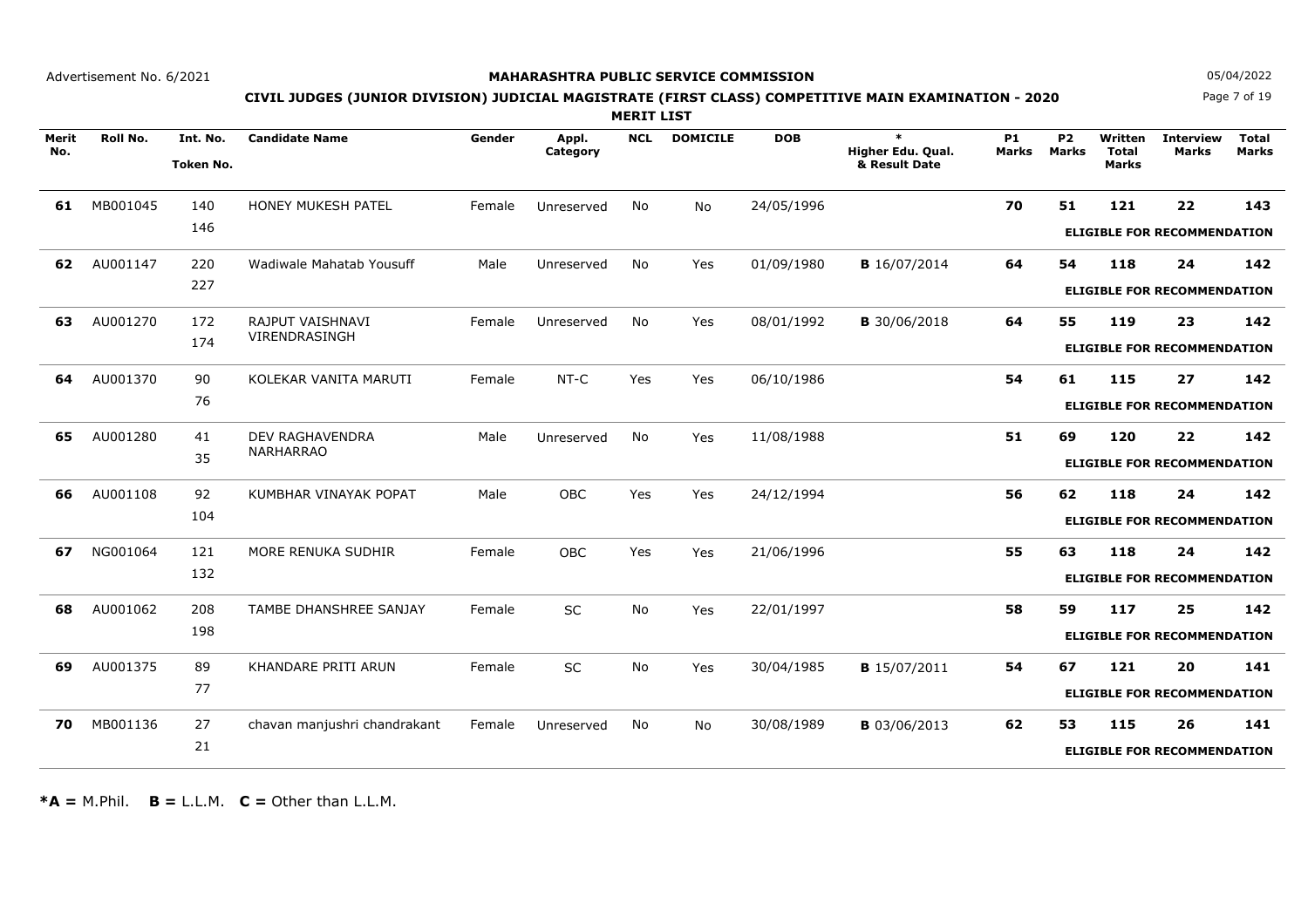### **MAHARASHTRA PUBLIC SERVICE COMMISSION**

Page 7 of 19**N** 05/04/2022

# **CIVIL JUDGES (JUNIOR DIVISION) JUDICIAL MAGISTRATE (FIRST CLASS) COMPETITIVE MAIN EXAMINATION - 2020**

**MERIT LIST**

| Merit<br>No. | Roll No. | Int. No.  | <b>Candidate Name</b>        | Gender | Appl.<br>Category | <b>NCL</b> | <b>DOMICILE</b> | <b>DOB</b> | $\ast$<br>Higher Edu. Qual. | <b>P1</b><br><b>Marks</b> | P <sub>2</sub><br><b>Marks</b> | Written<br>Total | <b>Interview</b><br><b>Marks</b>   | <b>Total</b><br><b>Marks</b> |
|--------------|----------|-----------|------------------------------|--------|-------------------|------------|-----------------|------------|-----------------------------|---------------------------|--------------------------------|------------------|------------------------------------|------------------------------|
|              |          | Token No. |                              |        |                   |            |                 |            | & Result Date               |                           |                                | <b>Marks</b>     |                                    |                              |
| 61           | MB001045 | 140       | HONEY MUKESH PATEL           | Female | Unreserved        | <b>No</b>  | No              | 24/05/1996 |                             | 70                        | 51                             | 121              | 22                                 | 143                          |
|              |          | 146       |                              |        |                   |            |                 |            |                             |                           |                                |                  | <b>ELIGIBLE FOR RECOMMENDATION</b> |                              |
| 62           | AU001147 | 220       | Wadiwale Mahatab Yousuff     | Male   | Unreserved        | No         | Yes             | 01/09/1980 | <b>B</b> 16/07/2014         | 64                        | 54                             | 118              | 24                                 | 142                          |
|              |          | 227       |                              |        |                   |            |                 |            |                             |                           |                                |                  | <b>ELIGIBLE FOR RECOMMENDATION</b> |                              |
| 63           | AU001270 | 172       | RAJPUT VAISHNAVI             | Female | Unreserved        | No         | Yes             | 08/01/1992 | <b>B</b> 30/06/2018         | 64                        | 55                             | 119              | 23                                 | 142                          |
|              |          | 174       | VIRENDRASINGH                |        |                   |            |                 |            |                             |                           |                                |                  | <b>ELIGIBLE FOR RECOMMENDATION</b> |                              |
| 64           | AU001370 | 90        | KOLEKAR VANITA MARUTI        | Female | NT-C              | Yes        | Yes             | 06/10/1986 |                             | 54                        | 61                             | 115              | 27                                 | 142                          |
|              |          | 76        |                              |        |                   |            |                 |            |                             |                           |                                |                  | <b>ELIGIBLE FOR RECOMMENDATION</b> |                              |
| 65           | AU001280 | 41        | <b>DEV RAGHAVENDRA</b>       | Male   | Unreserved        | No         | Yes             | 11/08/1988 |                             | 51                        | 69                             | 120              | 22                                 | 142                          |
|              |          | 35        | <b>NARHARRAO</b>             |        |                   |            |                 |            |                             |                           |                                |                  | <b>ELIGIBLE FOR RECOMMENDATION</b> |                              |
| 66           | AU001108 | 92        | KUMBHAR VINAYAK POPAT        | Male   | OBC               | Yes        | Yes             | 24/12/1994 |                             | 56                        | 62                             | 118              | 24                                 | 142                          |
|              |          | 104       |                              |        |                   |            |                 |            |                             |                           |                                |                  | <b>ELIGIBLE FOR RECOMMENDATION</b> |                              |
| 67           | NG001064 | 121       | MORE RENUKA SUDHIR           | Female | <b>OBC</b>        | Yes        | Yes             | 21/06/1996 |                             | 55                        | 63                             | 118              | 24                                 | 142                          |
|              |          | 132       |                              |        |                   |            |                 |            |                             |                           |                                |                  | <b>ELIGIBLE FOR RECOMMENDATION</b> |                              |
| 68           | AU001062 | 208       | TAMBE DHANSHREE SANJAY       | Female | <b>SC</b>         | No         | Yes             | 22/01/1997 |                             | 58                        | 59                             | 117              | 25                                 | 142                          |
|              |          | 198       |                              |        |                   |            |                 |            |                             |                           |                                |                  | <b>ELIGIBLE FOR RECOMMENDATION</b> |                              |
| 69           | AU001375 | 89        | KHANDARE PRITI ARUN          | Female | SC                | No         | Yes             | 30/04/1985 | <b>B</b> 15/07/2011         | 54                        | 67                             | 121              | 20                                 | 141                          |
|              |          | 77        |                              |        |                   |            |                 |            |                             |                           |                                |                  | <b>ELIGIBLE FOR RECOMMENDATION</b> |                              |
| 70           | MB001136 | 27        | chavan manjushri chandrakant | Female | Unreserved        | <b>No</b>  | No              | 30/08/1989 | <b>B</b> 03/06/2013         | 62                        | 53                             | 115              | 26                                 | 141                          |
|              |          | 21        |                              |        |                   |            |                 |            |                             |                           |                                |                  | <b>ELIGIBLE FOR RECOMMENDATION</b> |                              |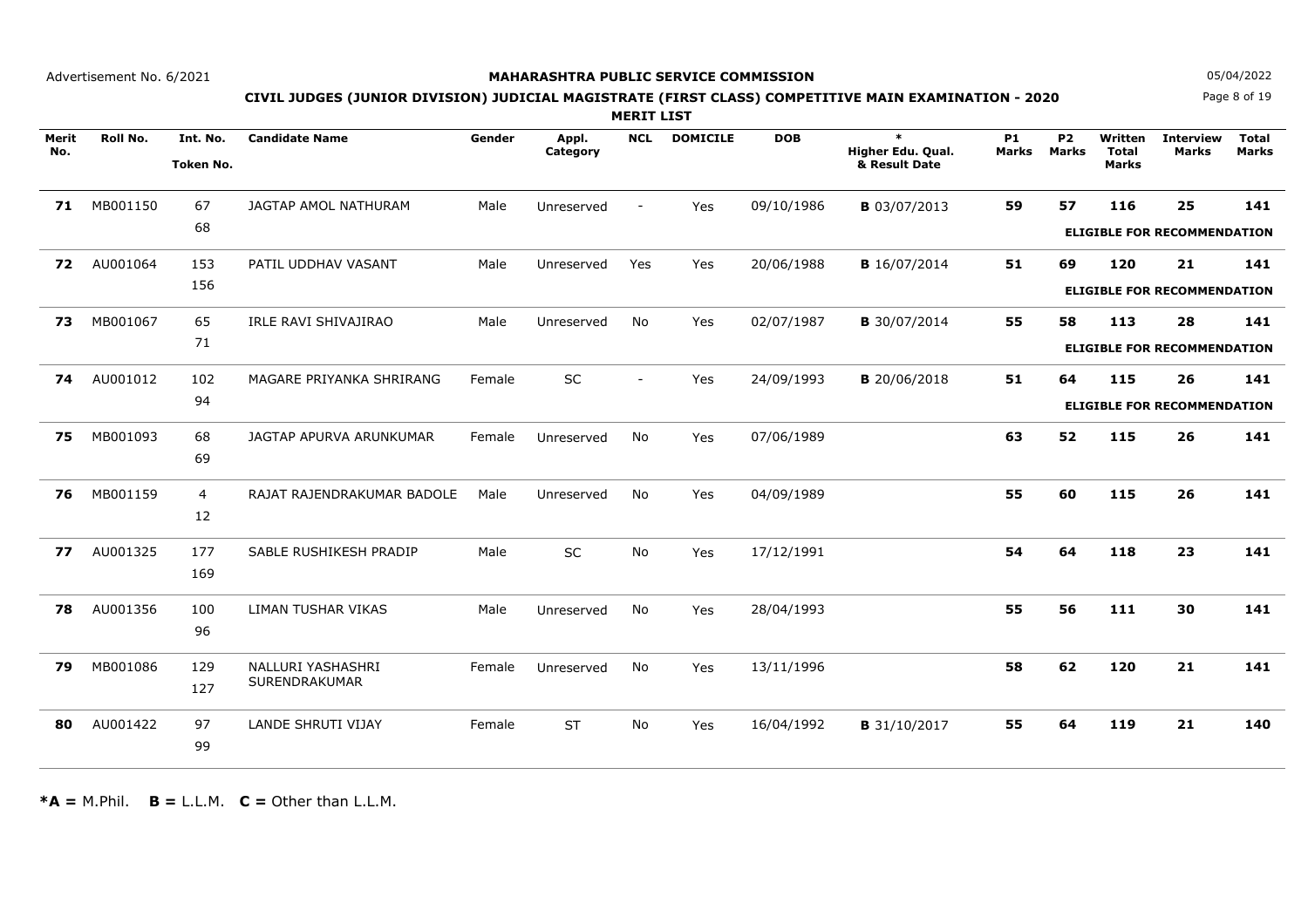### **MAHARASHTRA PUBLIC SERVICE COMMISSION**

Page 8 of 19**N** 05/04/2022

# **CIVIL JUDGES (JUNIOR DIVISION) JUDICIAL MAGISTRATE (FIRST CLASS) COMPETITIVE MAIN EXAMINATION - 2020**

**MERIT LIST**

| Merit | <b>Roll No.</b> | Int. No.         | <b>Candidate Name</b>      | Gender | Appl.      | <b>NCL</b> | <b>DOMICILE</b> | <b>DOB</b> | $\ast$              | <b>P1</b> | <b>P2</b>    | Written      | <b>Interview</b>                   | <b>Total</b> |
|-------|-----------------|------------------|----------------------------|--------|------------|------------|-----------------|------------|---------------------|-----------|--------------|--------------|------------------------------------|--------------|
| No.   |                 |                  |                            |        | Category   |            |                 |            | Higher Edu. Qual.   | Marks     | <b>Marks</b> | <b>Total</b> | <b>Marks</b>                       | <b>Marks</b> |
|       |                 | <b>Token No.</b> |                            |        |            |            |                 |            | & Result Date       |           |              | <b>Marks</b> |                                    |              |
| 71    | MB001150        | 67               | JAGTAP AMOL NATHURAM       | Male   | Unreserved | $\sim$     | Yes             | 09/10/1986 | <b>B</b> 03/07/2013 | 59        | 57           | 116          | 25                                 | 141          |
|       |                 | 68               |                            |        |            |            |                 |            |                     |           |              |              | <b>ELIGIBLE FOR RECOMMENDATION</b> |              |
| 72    | AU001064        | 153              | PATIL UDDHAV VASANT        | Male   | Unreserved | Yes        | Yes             | 20/06/1988 | <b>B</b> 16/07/2014 | 51        | 69           | 120          | 21                                 | 141          |
|       |                 | 156              |                            |        |            |            |                 |            |                     |           |              |              | <b>ELIGIBLE FOR RECOMMENDATION</b> |              |
| 73    | MB001067        | 65               | IRLE RAVI SHIVAJIRAO       | Male   | Unreserved | No         | Yes             | 02/07/1987 | <b>B</b> 30/07/2014 | 55        | 58           | 113          | 28                                 | 141          |
|       |                 | 71               |                            |        |            |            |                 |            |                     |           |              |              | <b>ELIGIBLE FOR RECOMMENDATION</b> |              |
| 74    | AU001012        | 102              | MAGARE PRIYANKA SHRIRANG   | Female | SC         | $\sim$     | Yes             | 24/09/1993 | <b>B</b> 20/06/2018 | 51        | 64           | 115          | 26                                 | 141          |
|       |                 | 94               |                            |        |            |            |                 |            |                     |           |              |              | <b>ELIGIBLE FOR RECOMMENDATION</b> |              |
| 75    | MB001093        | 68               | JAGTAP APURVA ARUNKUMAR    | Female | Unreserved | No         | Yes             | 07/06/1989 |                     | 63        | 52           | 115          | 26                                 | 141          |
|       |                 | 69               |                            |        |            |            |                 |            |                     |           |              |              |                                    |              |
| 76    | MB001159        | $\overline{4}$   | RAJAT RAJENDRAKUMAR BADOLE | Male   | Unreserved | No         | Yes             | 04/09/1989 |                     | 55        | 60           | 115          | 26                                 | 141          |
|       |                 | 12               |                            |        |            |            |                 |            |                     |           |              |              |                                    |              |
| 77    | AU001325        | 177              | SABLE RUSHIKESH PRADIP     | Male   | <b>SC</b>  | No         | Yes             | 17/12/1991 |                     | 54        | 64           | 118          | 23                                 | 141          |
|       |                 | 169              |                            |        |            |            |                 |            |                     |           |              |              |                                    |              |
| 78    | AU001356        | 100              | LIMAN TUSHAR VIKAS         | Male   | Unreserved | No         | Yes             | 28/04/1993 |                     | 55        | 56           | 111          | 30                                 | 141          |
|       |                 | 96               |                            |        |            |            |                 |            |                     |           |              |              |                                    |              |
| 79    | MB001086        | 129              | NALLURI YASHASHRI          | Female | Unreserved | No         | Yes             | 13/11/1996 |                     | 58        | 62           | 120          | 21                                 | 141          |
|       |                 | 127              | SURENDRAKUMAR              |        |            |            |                 |            |                     |           |              |              |                                    |              |
| 80    | AU001422        | 97               | <b>LANDE SHRUTI VIJAY</b>  | Female | <b>ST</b>  | No         | Yes             | 16/04/1992 | <b>B</b> 31/10/2017 | 55        | 64           | 119          | 21                                 | 140          |
|       |                 | 99               |                            |        |            |            |                 |            |                     |           |              |              |                                    |              |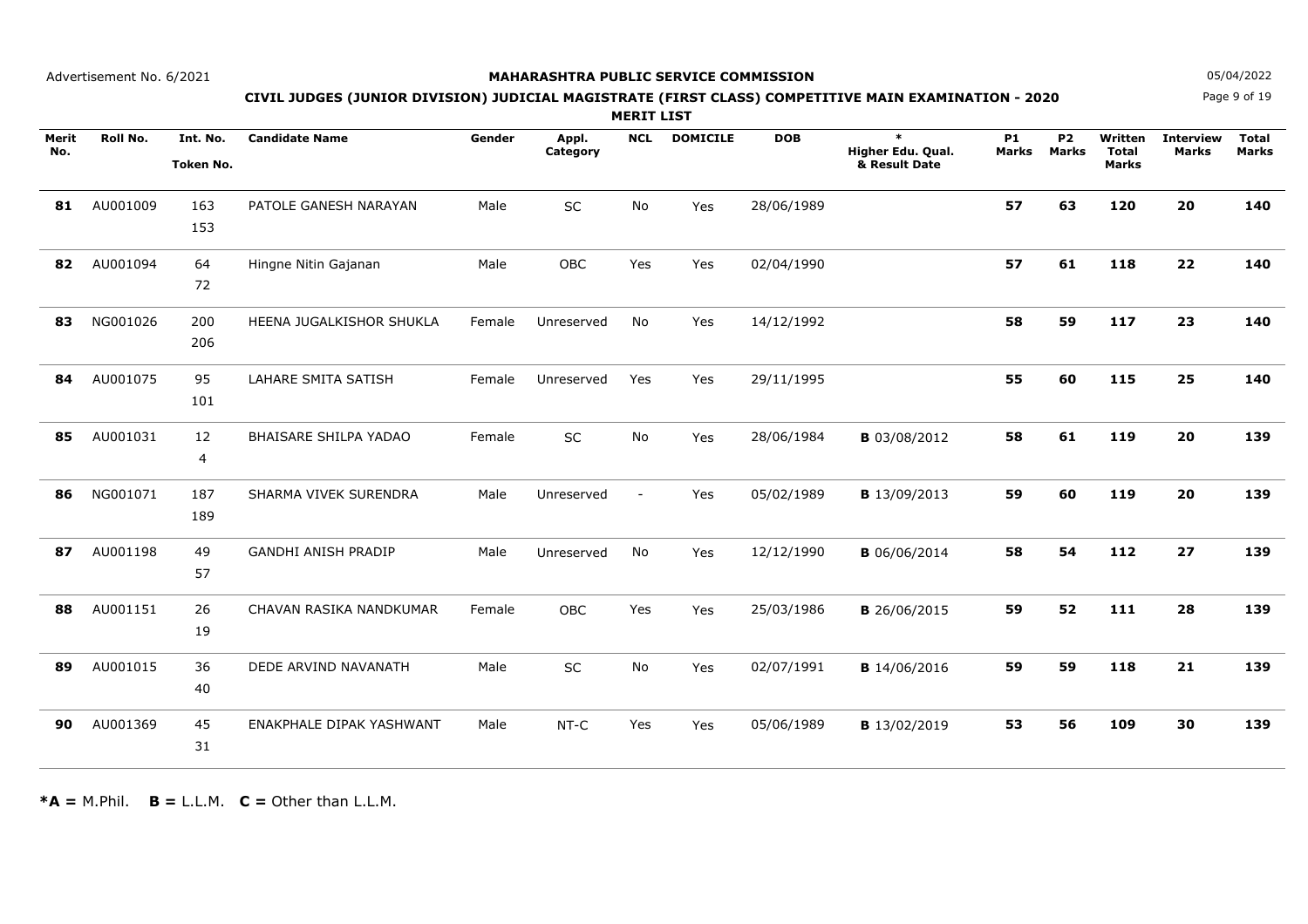### **MAHARASHTRA PUBLIC SERVICE COMMISSION**

Page 9 of 19**N** 05/04/2022

# **CIVIL JUDGES (JUNIOR DIVISION) JUDICIAL MAGISTRATE (FIRST CLASS) COMPETITIVE MAIN EXAMINATION - 2020**

**MERIT LIST**

| Merit<br>No. | Roll No. | Int. No.<br>Token No. | <b>Candidate Name</b>      | Gender | Appl.<br>Category | <b>NCL</b>               | <b>DOMICILE</b> | <b>DOB</b> | $\ast$<br>Higher Edu. Qual.<br>& Result Date | <b>P1</b><br><b>Marks</b> | <b>P2</b><br><b>Marks</b> | Written<br><b>Total</b><br><b>Marks</b> | <b>Interview</b><br>Marks | <b>Total</b><br><b>Marks</b> |
|--------------|----------|-----------------------|----------------------------|--------|-------------------|--------------------------|-----------------|------------|----------------------------------------------|---------------------------|---------------------------|-----------------------------------------|---------------------------|------------------------------|
| 81           | AU001009 | 163<br>153            | PATOLE GANESH NARAYAN      | Male   | SC                | No                       | Yes             | 28/06/1989 |                                              | 57                        | 63                        | 120                                     | 20                        | 140                          |
| 82           | AU001094 | 64<br>72              | Hingne Nitin Gajanan       | Male   | <b>OBC</b>        | Yes                      | Yes             | 02/04/1990 |                                              | 57                        | 61                        | 118                                     | 22                        | 140                          |
| 83           | NG001026 | 200<br>206            | HEENA JUGALKISHOR SHUKLA   | Female | Unreserved        | No                       | Yes             | 14/12/1992 |                                              | 58                        | 59                        | 117                                     | 23                        | 140                          |
| 84           | AU001075 | 95<br>101             | LAHARE SMITA SATISH        | Female | Unreserved        | Yes                      | Yes             | 29/11/1995 |                                              | 55                        | 60                        | 115                                     | 25                        | 140                          |
| 85           | AU001031 | 12<br>4               | BHAISARE SHILPA YADAO      | Female | SC                | No                       | Yes             | 28/06/1984 | <b>B</b> 03/08/2012                          | 58                        | 61                        | 119                                     | 20                        | 139                          |
| 86           | NG001071 | 187<br>189            | SHARMA VIVEK SURENDRA      | Male   | Unreserved        | $\overline{\phantom{a}}$ | Yes             | 05/02/1989 | <b>B</b> 13/09/2013                          | 59                        | 60                        | 119                                     | 20                        | 139                          |
| 87           | AU001198 | 49<br>57              | <b>GANDHI ANISH PRADIP</b> | Male   | Unreserved        | No                       | Yes             | 12/12/1990 | <b>B</b> 06/06/2014                          | 58                        | 54                        | 112                                     | 27                        | 139                          |
| 88           | AU001151 | 26<br>19              | CHAVAN RASIKA NANDKUMAR    | Female | <b>OBC</b>        | Yes                      | Yes             | 25/03/1986 | <b>B</b> 26/06/2015                          | 59                        | 52                        | 111                                     | 28                        | 139                          |
| 89           | AU001015 | 36<br>40              | DEDE ARVIND NAVANATH       | Male   | SC                | No                       | Yes             | 02/07/1991 | <b>B</b> 14/06/2016                          | 59                        | 59                        | 118                                     | 21                        | 139                          |
| 90           | AU001369 | 45<br>31              | ENAKPHALE DIPAK YASHWANT   | Male   | $NT-C$            | Yes                      | Yes             | 05/06/1989 | <b>B</b> 13/02/2019                          | 53                        | 56                        | 109                                     | 30                        | 139                          |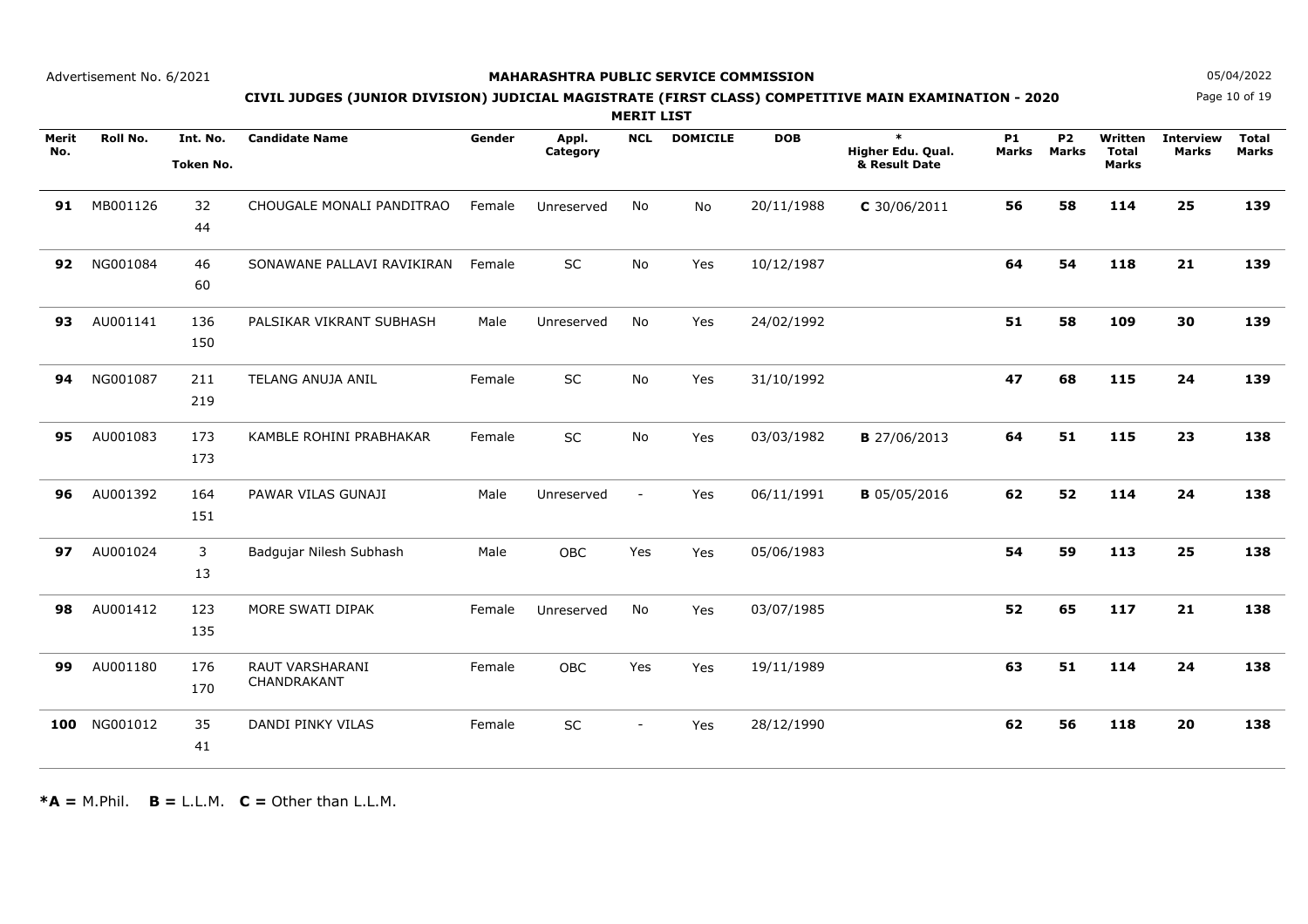### **MAHARASHTRA PUBLIC SERVICE COMMISSION**

Page 10 of 19**N** 05/04/2022

# **CIVIL JUDGES (JUNIOR DIVISION) JUDICIAL MAGISTRATE (FIRST CLASS) COMPETITIVE MAIN EXAMINATION - 2020**

**MERIT LIST**

| Merit<br>No. | Roll No. | Int. No.<br>Token No. | <b>Candidate Name</b>          | Gender | Appl.<br>Category | <b>NCL</b>               | <b>DOMICILE</b> | <b>DOB</b> | $\ast$<br>Higher Edu. Qual.<br>& Result Date | <b>P1</b><br>Marks | <b>P2</b><br><b>Marks</b> | Written<br><b>Total</b><br><b>Marks</b> | <b>Interview</b><br><b>Marks</b> | <b>Total</b><br><b>Marks</b> |
|--------------|----------|-----------------------|--------------------------------|--------|-------------------|--------------------------|-----------------|------------|----------------------------------------------|--------------------|---------------------------|-----------------------------------------|----------------------------------|------------------------------|
| 91           | MB001126 | 32<br>44              | CHOUGALE MONALI PANDITRAO      | Female | Unreserved        | <b>No</b>                | <b>No</b>       | 20/11/1988 | $C$ 30/06/2011                               | 56                 | 58                        | 114                                     | 25                               | 139                          |
| 92           | NG001084 | 46<br>60              | SONAWANE PALLAVI RAVIKIRAN     | Female | <b>SC</b>         | <b>No</b>                | Yes             | 10/12/1987 |                                              | 64                 | 54                        | 118                                     | 21                               | 139                          |
| 93           | AU001141 | 136<br>150            | PALSIKAR VIKRANT SUBHASH       | Male   | Unreserved        | No                       | Yes             | 24/02/1992 |                                              | 51                 | 58                        | 109                                     | 30                               | 139                          |
| 94           | NG001087 | 211<br>219            | TELANG ANUJA ANIL              | Female | SC                | No                       | Yes             | 31/10/1992 |                                              | 47                 | 68                        | 115                                     | 24                               | 139                          |
| 95           | AU001083 | 173<br>173            | KAMBLE ROHINI PRABHAKAR        | Female | SC                | <b>No</b>                | Yes             | 03/03/1982 | <b>B</b> 27/06/2013                          | 64                 | 51                        | 115                                     | 23                               | 138                          |
| 96           | AU001392 | 164<br>151            | PAWAR VILAS GUNAJI             | Male   | Unreserved        | $\overline{\phantom{a}}$ | Yes             | 06/11/1991 | <b>B</b> 05/05/2016                          | 62                 | 52                        | 114                                     | 24                               | 138                          |
| 97           | AU001024 | 3<br>13               | Badgujar Nilesh Subhash        | Male   | <b>OBC</b>        | Yes                      | Yes             | 05/06/1983 |                                              | 54                 | 59                        | 113                                     | 25                               | 138                          |
| 98           | AU001412 | 123<br>135            | MORE SWATI DIPAK               | Female | Unreserved        | No                       | Yes             | 03/07/1985 |                                              | 52                 | 65                        | 117                                     | 21                               | 138                          |
| 99           | AU001180 | 176<br>170            | RAUT VARSHARANI<br>CHANDRAKANT | Female | OBC               | Yes                      | Yes             | 19/11/1989 |                                              | 63                 | 51                        | 114                                     | 24                               | 138                          |
| 100          | NG001012 | 35<br>41              | DANDI PINKY VILAS              | Female | SC                | $\sim$                   | Yes             | 28/12/1990 |                                              | 62                 | 56                        | 118                                     | 20                               | 138                          |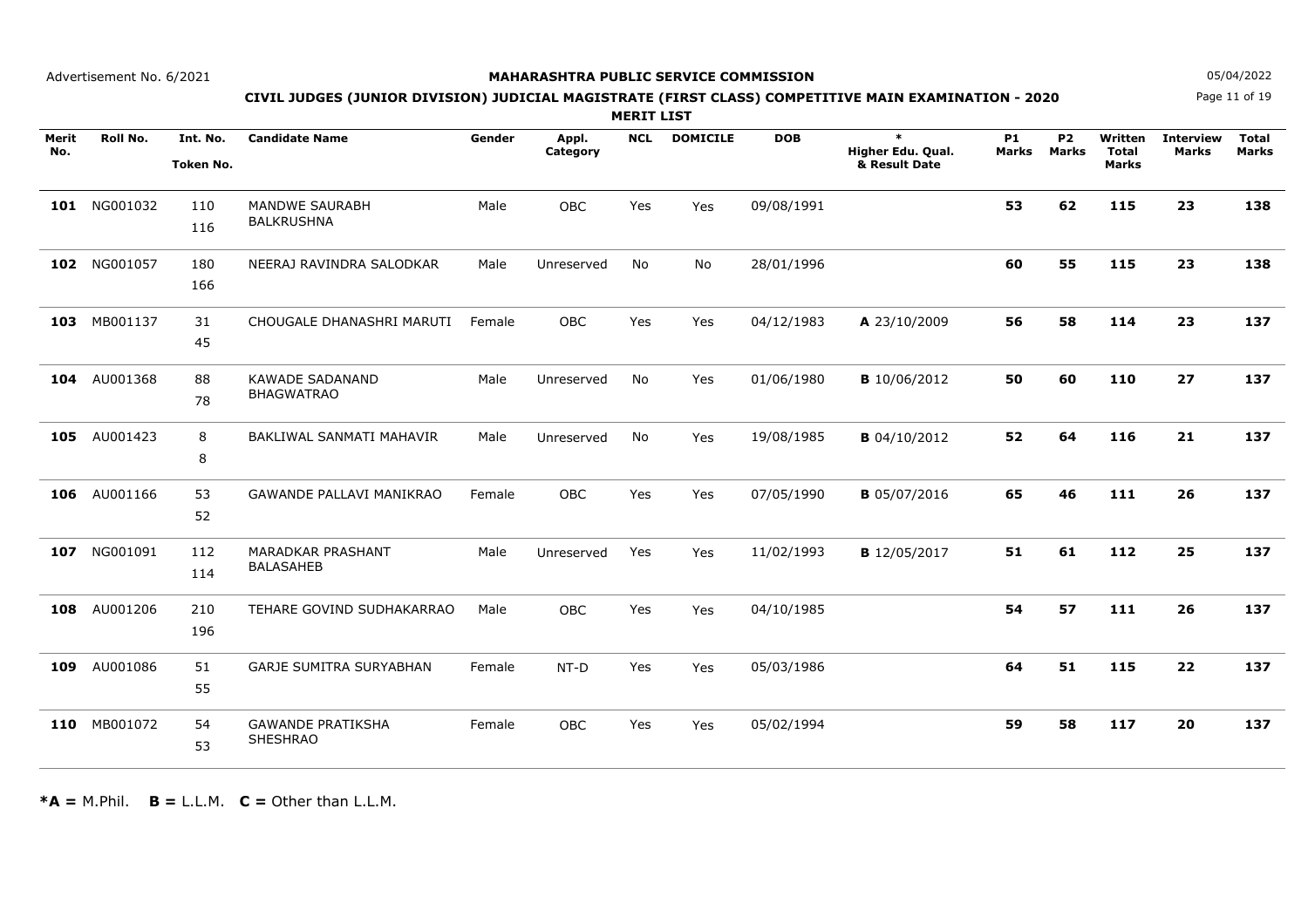### **MAHARASHTRA PUBLIC SERVICE COMMISSION**

Page 11 of 19**N** 05/04/2022

# **CIVIL JUDGES (JUNIOR DIVISION) JUDICIAL MAGISTRATE (FIRST CLASS) COMPETITIVE MAIN EXAMINATION - 2020**

**MERIT LIST**

| Merit<br>No. | Roll No.     | Int. No.<br><b>Token No.</b> | <b>Candidate Name</b>                        | Gender | Appl.<br>Category | <b>NCL</b> | <b>DOMICILE</b> | <b>DOB</b> | $\ast$<br>Higher Edu. Qual.<br>& Result Date | <b>P1</b><br>Marks | <b>P2</b><br><b>Marks</b> | Written<br><b>Total</b><br><b>Marks</b> | <b>Interview</b><br><b>Marks</b> | <b>Total</b><br><b>Marks</b> |
|--------------|--------------|------------------------------|----------------------------------------------|--------|-------------------|------------|-----------------|------------|----------------------------------------------|--------------------|---------------------------|-----------------------------------------|----------------------------------|------------------------------|
|              | 101 NG001032 | 110<br>116                   | MANDWE SAURABH<br><b>BALKRUSHNA</b>          | Male   | OBC               | Yes        | Yes             | 09/08/1991 |                                              | 53                 | 62                        | 115                                     | 23                               | 138                          |
| 102          | NG001057     | 180<br>166                   | NEERAJ RAVINDRA SALODKAR                     | Male   | Unreserved        | No         | No              | 28/01/1996 |                                              | 60                 | 55                        | 115                                     | 23                               | 138                          |
| 103          | MB001137     | 31<br>45                     | CHOUGALE DHANASHRI MARUTI                    | Female | <b>OBC</b>        | Yes        | Yes             | 04/12/1983 | A 23/10/2009                                 | 56                 | 58                        | 114                                     | 23                               | 137                          |
| 104          | AU001368     | 88<br>78                     | <b>KAWADE SADANAND</b><br><b>BHAGWATRAO</b>  | Male   | Unreserved        | No         | Yes             | 01/06/1980 | <b>B</b> 10/06/2012                          | 50                 | 60                        | 110                                     | 27                               | 137                          |
| 105          | AU001423     | 8<br>8                       | BAKLIWAL SANMATI MAHAVIR                     | Male   | Unreserved        | No         | Yes             | 19/08/1985 | <b>B</b> 04/10/2012                          | 52                 | 64                        | 116                                     | 21                               | 137                          |
| 106          | AU001166     | 53<br>52                     | <b>GAWANDE PALLAVI MANIKRAO</b>              | Female | <b>OBC</b>        | Yes        | Yes             | 07/05/1990 | <b>B</b> 05/07/2016                          | 65                 | 46                        | 111                                     | 26                               | 137                          |
| 107          | NG001091     | 112<br>114                   | <b>MARADKAR PRASHANT</b><br><b>BALASAHEB</b> | Male   | Unreserved        | Yes        | Yes             | 11/02/1993 | <b>B</b> 12/05/2017                          | 51                 | 61                        | 112                                     | 25                               | 137                          |
| 108          | AU001206     | 210<br>196                   | TEHARE GOVIND SUDHAKARRAO                    | Male   | <b>OBC</b>        | Yes        | Yes             | 04/10/1985 |                                              | 54                 | 57                        | 111                                     | 26                               | 137                          |
| 109          | AU001086     | 51<br>55                     | <b>GARJE SUMITRA SURYABHAN</b>               | Female | $NT-D$            | Yes        | Yes             | 05/03/1986 |                                              | 64                 | 51                        | 115                                     | 22                               | 137                          |
|              | 110 MB001072 | 54<br>53                     | <b>GAWANDE PRATIKSHA</b><br><b>SHESHRAO</b>  | Female | <b>OBC</b>        | Yes        | Yes             | 05/02/1994 |                                              | 59                 | 58                        | 117                                     | 20                               | 137                          |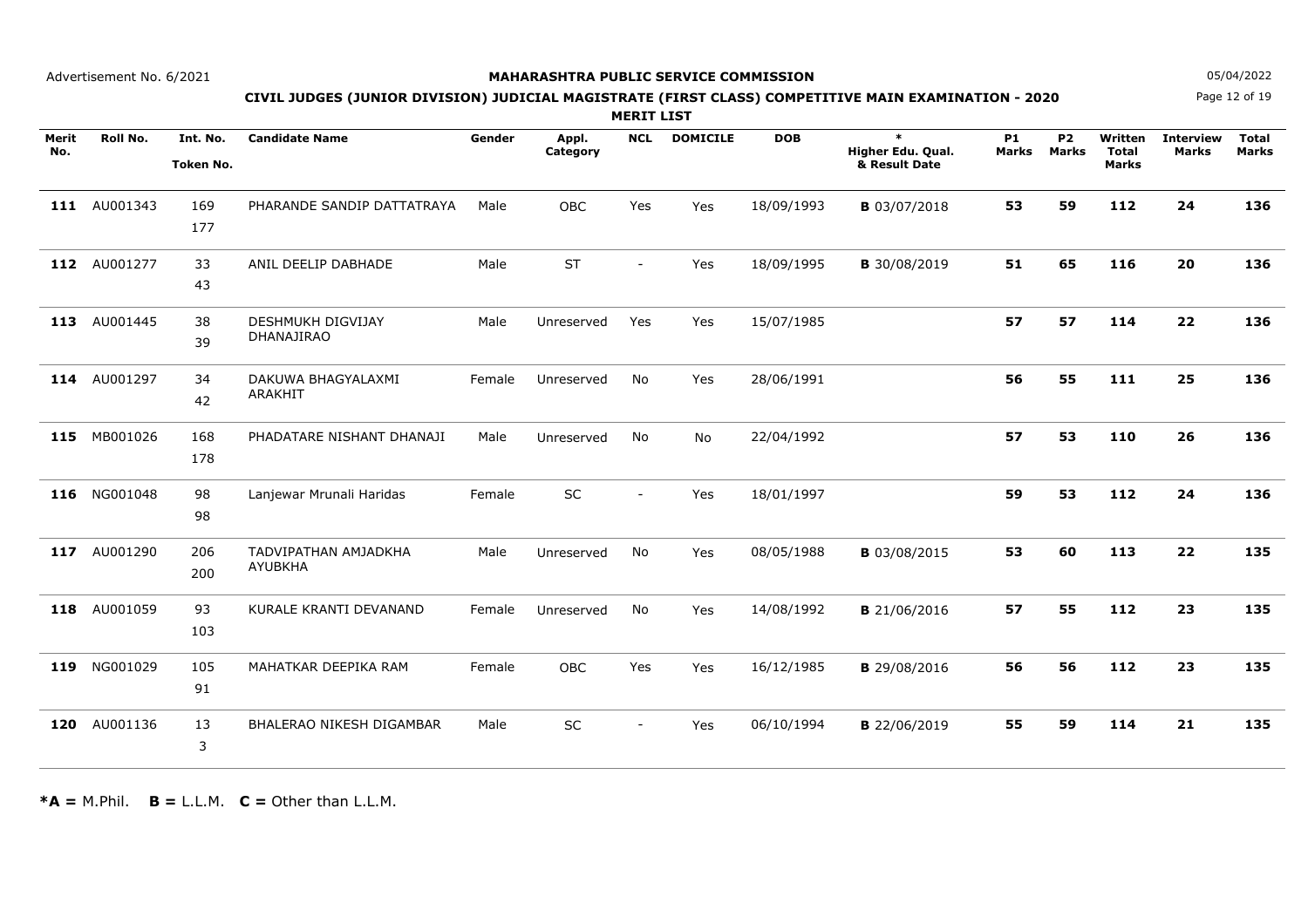### **MAHARASHTRA PUBLIC SERVICE COMMISSION**

Page 12 of 19**N** 05/04/2022

# **CIVIL JUDGES (JUNIOR DIVISION) JUDICIAL MAGISTRATE (FIRST CLASS) COMPETITIVE MAIN EXAMINATION - 2020**

**MERIT LIST**

| Merit<br>No. | Roll No.     | Int. No.<br><b>Token No.</b> | <b>Candidate Name</b>                  | Gender | Appl.<br>Category | <b>NCL</b>               | <b>DOMICILE</b> | <b>DOB</b> | $\ast$<br>Higher Edu. Qual.<br>& Result Date | <b>P1</b><br>Marks | <b>P2</b><br><b>Marks</b> | Written<br><b>Total</b><br><b>Marks</b> | <b>Interview</b><br><b>Marks</b> | <b>Total</b><br><b>Marks</b> |
|--------------|--------------|------------------------------|----------------------------------------|--------|-------------------|--------------------------|-----------------|------------|----------------------------------------------|--------------------|---------------------------|-----------------------------------------|----------------------------------|------------------------------|
|              | 111 AU001343 | 169<br>177                   | PHARANDE SANDIP DATTATRAYA             | Male   | OBC               | Yes                      | Yes             | 18/09/1993 | <b>B</b> 03/07/2018                          | 53                 | 59                        | 112                                     | 24                               | 136                          |
| 112          | AU001277     | 33<br>43                     | ANIL DEELIP DABHADE                    | Male   | <b>ST</b>         | $\sim$                   | Yes             | 18/09/1995 | <b>B</b> 30/08/2019                          | 51                 | 65                        | 116                                     | 20                               | 136                          |
| 113          | AU001445     | 38<br>39                     | <b>DESHMUKH DIGVIJAY</b><br>DHANAJIRAO | Male   | Unreserved        | Yes                      | Yes             | 15/07/1985 |                                              | 57                 | 57                        | 114                                     | 22                               | 136                          |
| 114          | AU001297     | 34<br>42                     | DAKUWA BHAGYALAXMI<br>ARAKHIT          | Female | Unreserved        | No.                      | Yes             | 28/06/1991 |                                              | 56                 | 55                        | 111                                     | 25                               | 136                          |
| 115          | MB001026     | 168<br>178                   | PHADATARE NISHANT DHANAJI              | Male   | Unreserved        | No                       | <b>No</b>       | 22/04/1992 |                                              | 57                 | 53                        | 110                                     | 26                               | 136                          |
|              | 116 NG001048 | 98<br>98                     | Lanjewar Mrunali Haridas               | Female | SC                | $\overline{\phantom{a}}$ | Yes             | 18/01/1997 |                                              | 59                 | 53                        | 112                                     | 24                               | 136                          |
| 117          | AU001290     | 206<br>200                   | TADVIPATHAN AMJADKHA<br><b>AYUBKHA</b> | Male   | Unreserved        | No                       | Yes             | 08/05/1988 | <b>B</b> 03/08/2015                          | 53                 | 60                        | 113                                     | 22                               | 135                          |
| 118          | AU001059     | 93<br>103                    | KURALE KRANTI DEVANAND                 | Female | Unreserved        | No                       | Yes             | 14/08/1992 | <b>B</b> 21/06/2016                          | 57                 | 55                        | 112                                     | 23                               | 135                          |
| 119          | NG001029     | 105<br>91                    | MAHATKAR DEEPIKA RAM                   | Female | OBC               | Yes                      | Yes             | 16/12/1985 | <b>B</b> 29/08/2016                          | 56                 | 56                        | 112                                     | 23                               | 135                          |
| 120          | AU001136     | 13<br>3                      | <b>BHALERAO NIKESH DIGAMBAR</b>        | Male   | <b>SC</b>         | $\blacksquare$           | Yes             | 06/10/1994 | <b>B</b> 22/06/2019                          | 55                 | 59                        | 114                                     | 21                               | 135                          |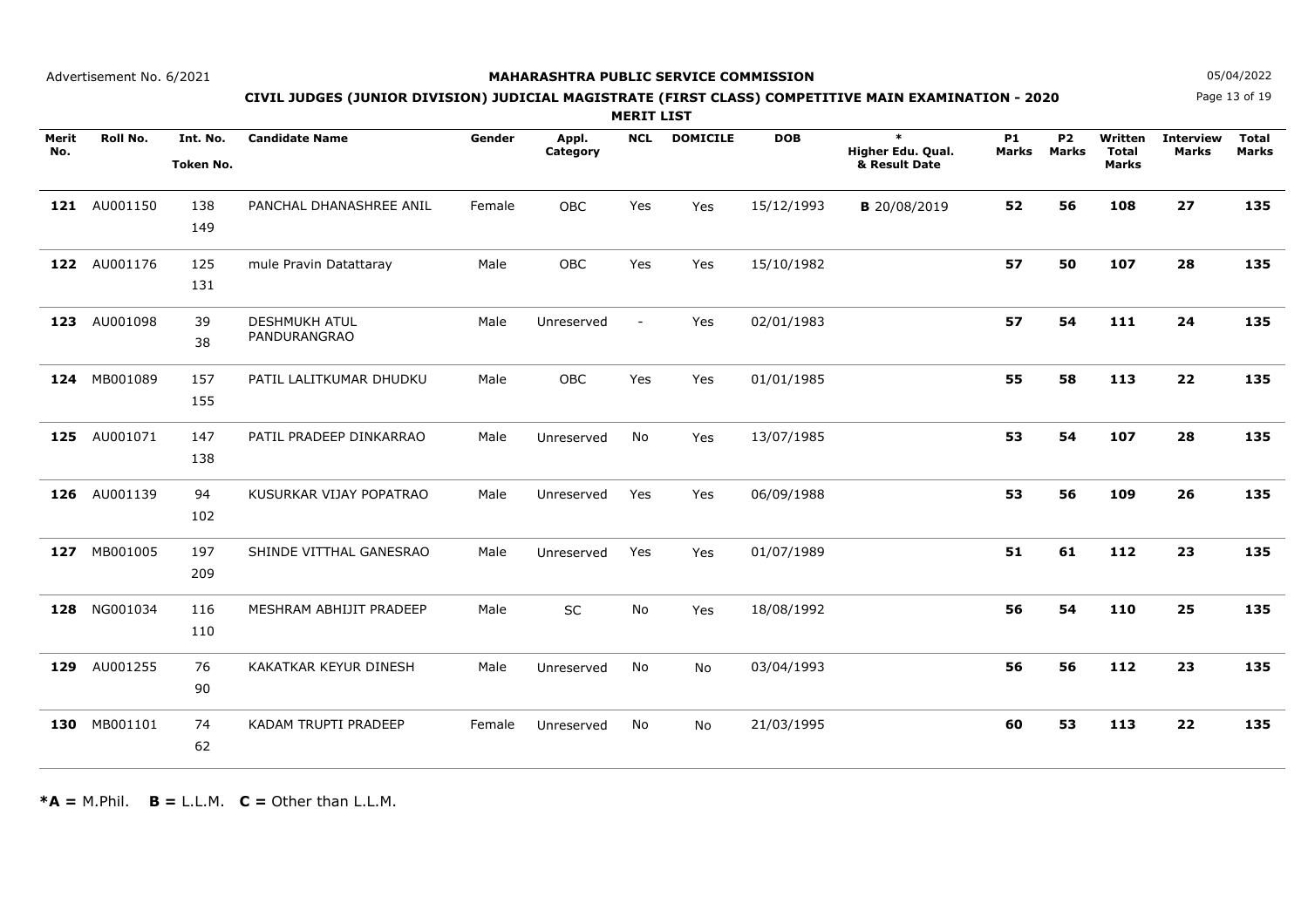### **MAHARASHTRA PUBLIC SERVICE COMMISSION**

Page 13 of 19**N** 05/04/2022

# **CIVIL JUDGES (JUNIOR DIVISION) JUDICIAL MAGISTRATE (FIRST CLASS) COMPETITIVE MAIN EXAMINATION - 2020**

**MERIT LIST**

| Merit<br>No. | Roll No.     | Int. No.<br>Token No. | <b>Candidate Name</b>                | Gender | Appl.<br>Category | <b>NCL</b>     | <b>DOMICILE</b> | <b>DOB</b> | $\ast$<br>Higher Edu. Qual.<br>& Result Date | <b>P1</b><br>Marks | <b>P2</b><br><b>Marks</b> | Written<br><b>Total</b><br><b>Marks</b> | <b>Interview</b><br><b>Marks</b> | <b>Total</b><br><b>Marks</b> |
|--------------|--------------|-----------------------|--------------------------------------|--------|-------------------|----------------|-----------------|------------|----------------------------------------------|--------------------|---------------------------|-----------------------------------------|----------------------------------|------------------------------|
|              | 121 AU001150 | 138<br>149            | PANCHAL DHANASHREE ANIL              | Female | OBC               | Yes            | Yes             | 15/12/1993 | <b>B</b> 20/08/2019                          | 52                 | 56                        | 108                                     | 27                               | 135                          |
| 122          | AU001176     | 125<br>131            | mule Pravin Datattaray               | Male   | <b>OBC</b>        | Yes            | Yes             | 15/10/1982 |                                              | 57                 | 50                        | 107                                     | 28                               | 135                          |
| 123          | AU001098     | 39<br>38              | <b>DESHMUKH ATUL</b><br>PANDURANGRAO | Male   | Unreserved        | $\blacksquare$ | Yes             | 02/01/1983 |                                              | 57                 | 54                        | 111                                     | 24                               | 135                          |
|              | 124 MB001089 | 157<br>155            | PATIL LALITKUMAR DHUDKU              | Male   | <b>OBC</b>        | Yes            | Yes             | 01/01/1985 |                                              | 55                 | 58                        | 113                                     | 22                               | 135                          |
| 125          | AU001071     | 147<br>138            | PATIL PRADEEP DINKARRAO              | Male   | Unreserved        | No             | Yes             | 13/07/1985 |                                              | 53                 | 54                        | 107                                     | 28                               | 135                          |
|              | 126 AU001139 | 94<br>102             | KUSURKAR VIJAY POPATRAO              | Male   | Unreserved        | Yes            | Yes             | 06/09/1988 |                                              | 53                 | 56                        | 109                                     | 26                               | 135                          |
| 127          | MB001005     | 197<br>209            | SHINDE VITTHAL GANESRAO              | Male   | Unreserved        | Yes            | Yes             | 01/07/1989 |                                              | 51                 | 61                        | 112                                     | 23                               | 135                          |
| 128          | NG001034     | 116<br>110            | MESHRAM ABHIJIT PRADEEP              | Male   | <b>SC</b>         | No             | Yes             | 18/08/1992 |                                              | 56                 | 54                        | 110                                     | 25                               | 135                          |
| 129          | AU001255     | 76<br>90              | KAKATKAR KEYUR DINESH                | Male   | Unreserved        | No             | No              | 03/04/1993 |                                              | 56                 | 56                        | 112                                     | 23                               | 135                          |
|              | 130 MB001101 | 74<br>62              | KADAM TRUPTI PRADEEP                 | Female | Unreserved        | No             | No              | 21/03/1995 |                                              | 60                 | 53                        | 113                                     | 22                               | 135                          |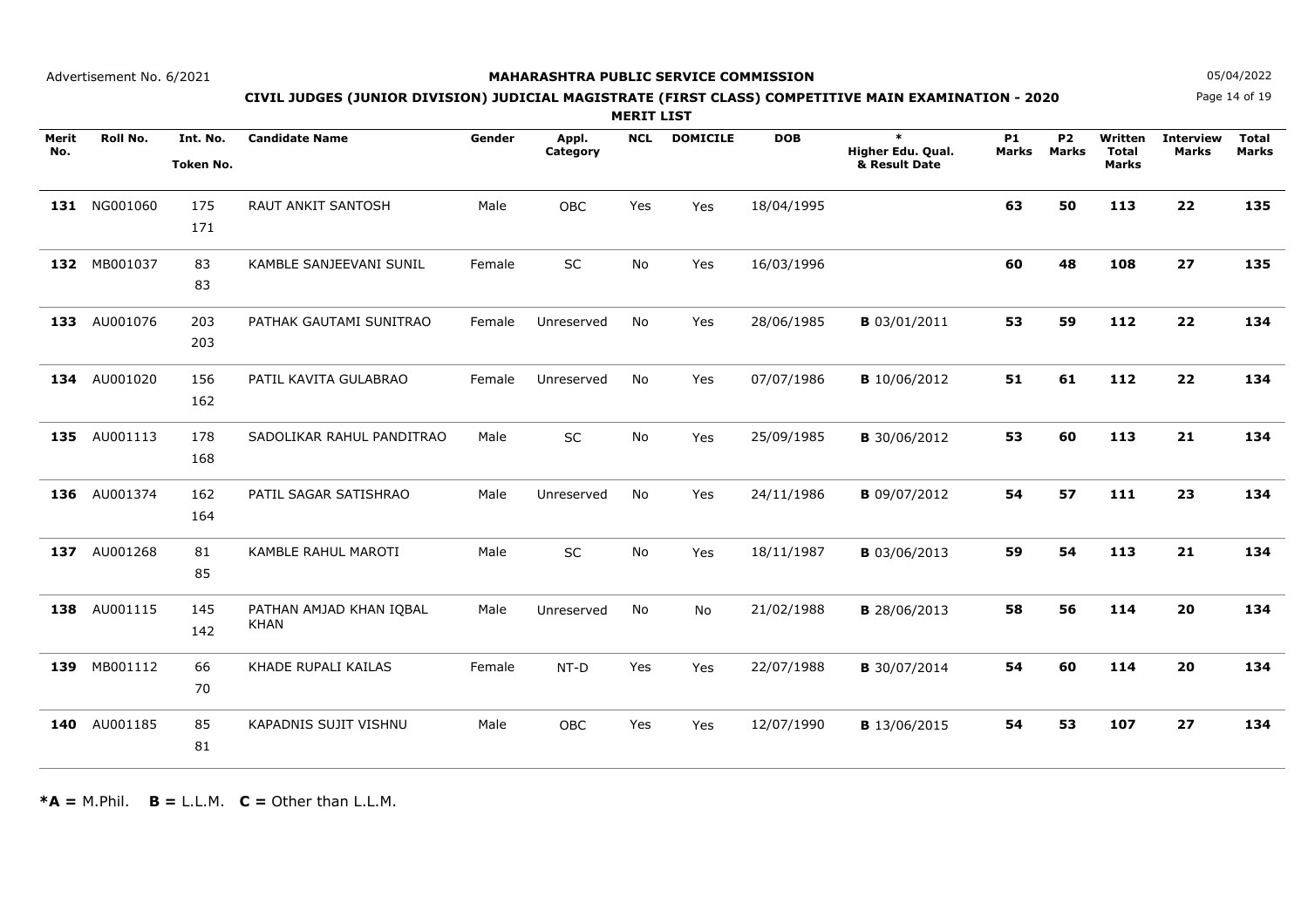### **MAHARASHTRA PUBLIC SERVICE COMMISSION**

Page 14 of 19**N** 05/04/2022

# **CIVIL JUDGES (JUNIOR DIVISION) JUDICIAL MAGISTRATE (FIRST CLASS) COMPETITIVE MAIN EXAMINATION - 2020**

**MERIT LIST**

| Merit<br>No. | Roll No.     | Int. No.<br>Token No. | <b>Candidate Name</b>                  | Gender | Appl.<br>Category | <b>NCL</b> | <b>DOMICILE</b> | <b>DOB</b> | $\ast$<br>Higher Edu. Qual.<br>& Result Date | <b>P1</b><br>Marks | <b>P2</b><br><b>Marks</b> | Written<br><b>Total</b><br><b>Marks</b> | <b>Interview</b><br><b>Marks</b> | <b>Total</b><br><b>Marks</b> |
|--------------|--------------|-----------------------|----------------------------------------|--------|-------------------|------------|-----------------|------------|----------------------------------------------|--------------------|---------------------------|-----------------------------------------|----------------------------------|------------------------------|
|              | 131 NG001060 | 175<br>171            | <b>RAUT ANKIT SANTOSH</b>              | Male   | OBC               | Yes        | Yes             | 18/04/1995 |                                              | 63                 | 50                        | 113                                     | 22                               | 135                          |
| 132          | MB001037     | 83<br>83              | KAMBLE SANJEEVANI SUNIL                | Female | <b>SC</b>         | <b>No</b>  | Yes             | 16/03/1996 |                                              | 60                 | 48                        | 108                                     | 27                               | 135                          |
| 133          | AU001076     | 203<br>203            | PATHAK GAUTAMI SUNITRAO                | Female | Unreserved        | No         | Yes             | 28/06/1985 | <b>B</b> 03/01/2011                          | 53                 | 59                        | 112                                     | 22                               | 134                          |
| 134          | AU001020     | 156<br>162            | PATIL KAVITA GULABRAO                  | Female | Unreserved        | No         | Yes             | 07/07/1986 | <b>B</b> 10/06/2012                          | 51                 | 61                        | 112                                     | 22                               | 134                          |
| 135          | AU001113     | 178<br>168            | SADOLIKAR RAHUL PANDITRAO              | Male   | <b>SC</b>         | No         | Yes             | 25/09/1985 | <b>B</b> 30/06/2012                          | 53                 | 60                        | 113                                     | 21                               | 134                          |
| 136          | AU001374     | 162<br>164            | PATIL SAGAR SATISHRAO                  | Male   | Unreserved        | No         | Yes             | 24/11/1986 | <b>B</b> 09/07/2012                          | 54                 | 57                        | 111                                     | 23                               | 134                          |
| 137          | AU001268     | 81<br>85              | KAMBLE RAHUL MAROTI                    | Male   | SC                | No         | Yes             | 18/11/1987 | <b>B</b> 03/06/2013                          | 59                 | 54                        | 113                                     | 21                               | 134                          |
| 138          | AU001115     | 145<br>142            | PATHAN AMJAD KHAN IQBAL<br><b>KHAN</b> | Male   | Unreserved        | No         | No              | 21/02/1988 | <b>B</b> 28/06/2013                          | 58                 | 56                        | 114                                     | 20                               | 134                          |
| 139          | MB001112     | 66<br>70              | KHADE RUPALI KAILAS                    | Female | $NT-D$            | Yes        | Yes             | 22/07/1988 | <b>B</b> 30/07/2014                          | 54                 | 60                        | 114                                     | 20                               | 134                          |
| 140          | AU001185     | 85<br>81              | <b>KAPADNIS SUJIT VISHNU</b>           | Male   | <b>OBC</b>        | Yes        | Yes             | 12/07/1990 | <b>B</b> 13/06/2015                          | 54                 | 53                        | 107                                     | 27                               | 134                          |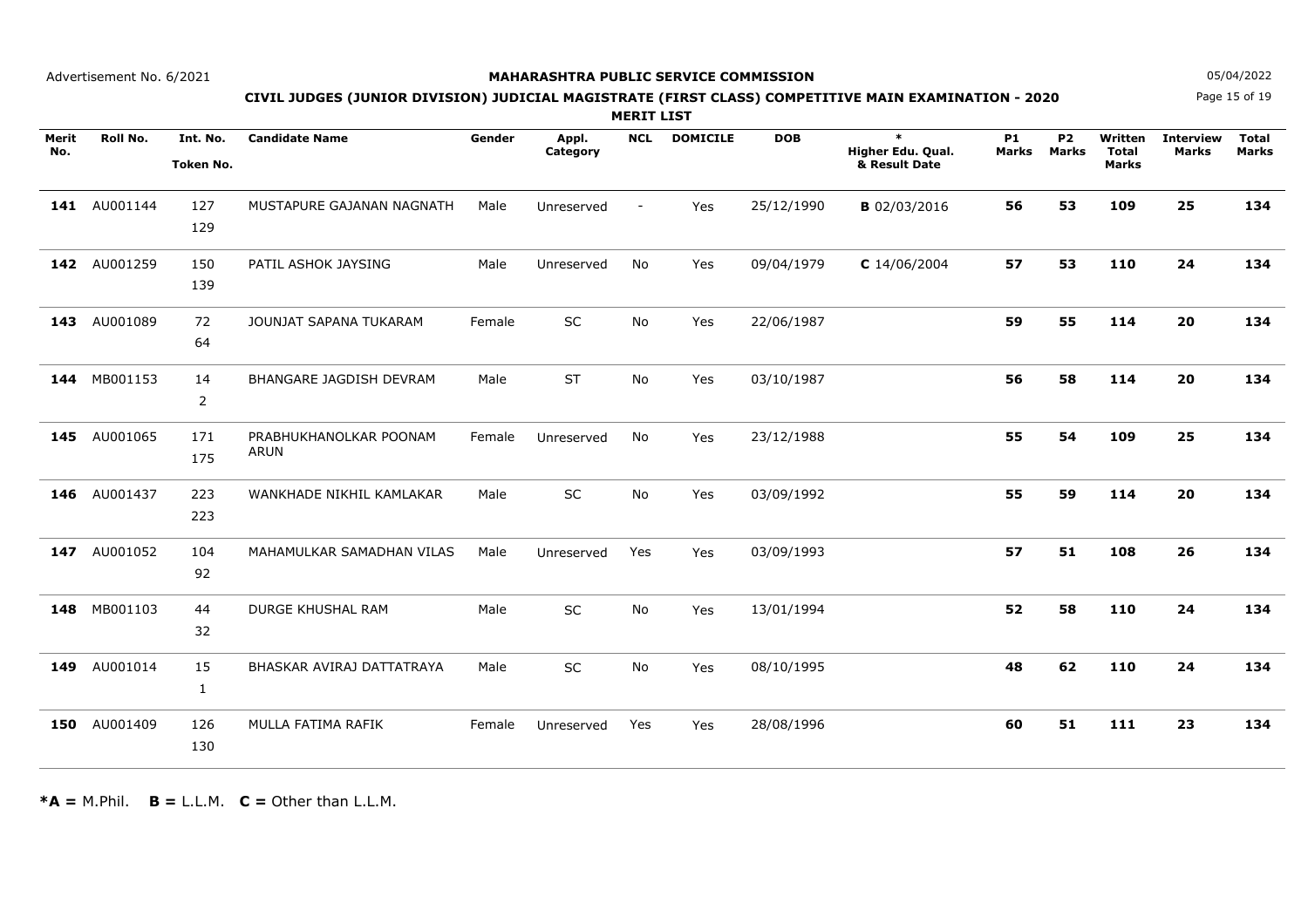### **MAHARASHTRA PUBLIC SERVICE COMMISSION**

Page 15 of 19**N** 05/04/2022

# **CIVIL JUDGES (JUNIOR DIVISION) JUDICIAL MAGISTRATE (FIRST CLASS) COMPETITIVE MAIN EXAMINATION - 2020**

**MERIT LIST**

| Merit<br>No. | Roll No.     | Int. No.<br>Token No. | <b>Candidate Name</b>                 | Gender | Appl.<br>Category | <b>NCL</b> | <b>DOMICILE</b> | <b>DOB</b> | $\ast$<br>Higher Edu. Qual.<br>& Result Date | <b>P1</b><br>Marks | <b>P2</b><br><b>Marks</b> | Written<br><b>Total</b><br><b>Marks</b> | <b>Interview</b><br><b>Marks</b> | <b>Total</b><br><b>Marks</b> |
|--------------|--------------|-----------------------|---------------------------------------|--------|-------------------|------------|-----------------|------------|----------------------------------------------|--------------------|---------------------------|-----------------------------------------|----------------------------------|------------------------------|
|              | 141 AU001144 | 127<br>129            | MUSTAPURE GAJANAN NAGNATH             | Male   | Unreserved        | $\sim$     | Yes             | 25/12/1990 | <b>B</b> 02/03/2016                          | 56                 | 53                        | 109                                     | 25                               | 134                          |
| 142          | AU001259     | 150<br>139            | PATIL ASHOK JAYSING                   | Male   | Unreserved        | No         | Yes             | 09/04/1979 | $C$ 14/06/2004                               | 57                 | 53                        | 110                                     | 24                               | 134                          |
| 143          | AU001089     | 72<br>64              | JOUNJAT SAPANA TUKARAM                | Female | SC                | No         | Yes             | 22/06/1987 |                                              | 59                 | 55                        | 114                                     | 20                               | 134                          |
|              | 144 MB001153 | 14<br>$\overline{2}$  | BHANGARE JAGDISH DEVRAM               | Male   | <b>ST</b>         | <b>No</b>  | Yes             | 03/10/1987 |                                              | 56                 | 58                        | 114                                     | 20                               | 134                          |
| 145          | AU001065     | 171<br>175            | PRABHUKHANOLKAR POONAM<br><b>ARUN</b> | Female | Unreserved        | No         | Yes             | 23/12/1988 |                                              | 55                 | 54                        | 109                                     | 25                               | 134                          |
| 146          | AU001437     | 223<br>223            | WANKHADE NIKHIL KAMLAKAR              | Male   | SC                | No         | Yes             | 03/09/1992 |                                              | 55                 | 59                        | 114                                     | 20                               | 134                          |
| 147          | AU001052     | 104<br>92             | MAHAMULKAR SAMADHAN VILAS             | Male   | Unreserved        | Yes        | Yes             | 03/09/1993 |                                              | 57                 | 51                        | 108                                     | 26                               | 134                          |
| 148          | MB001103     | 44<br>32              | DURGE KHUSHAL RAM                     | Male   | SC                | <b>No</b>  | Yes             | 13/01/1994 |                                              | 52                 | 58                        | 110                                     | 24                               | 134                          |
| 149          | AU001014     | 15<br>1               | BHASKAR AVIRAJ DATTATRAYA             | Male   | SC                | <b>No</b>  | Yes             | 08/10/1995 |                                              | 48                 | 62                        | 110                                     | 24                               | 134                          |
| 150          | AU001409     | 126<br>130            | MULLA FATIMA RAFIK                    | Female | Unreserved        | Yes        | Yes             | 28/08/1996 |                                              | 60                 | 51                        | 111                                     | 23                               | 134                          |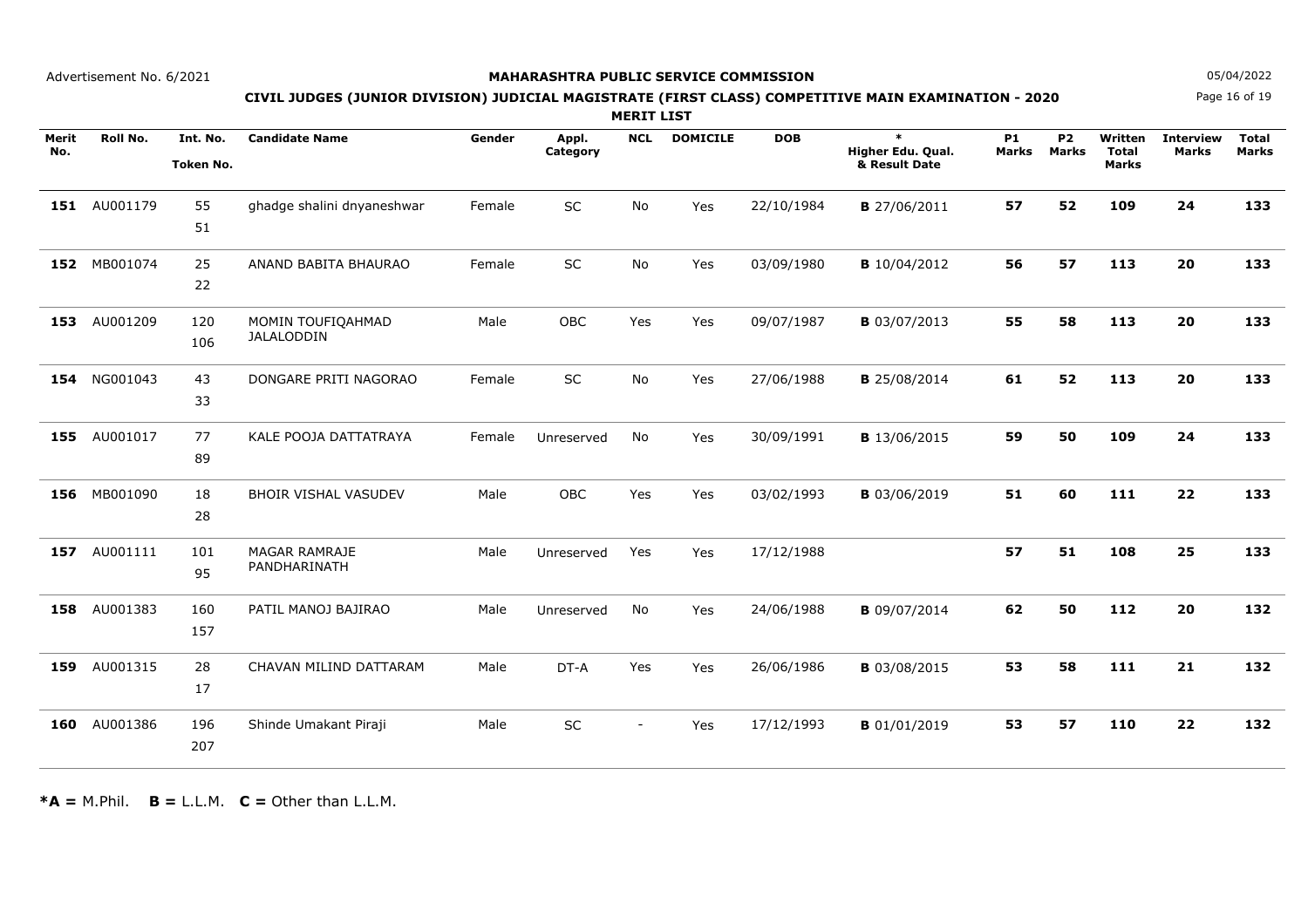### **MAHARASHTRA PUBLIC SERVICE COMMISSION**

Page 16 of 19**N** 05/04/2022

# **CIVIL JUDGES (JUNIOR DIVISION) JUDICIAL MAGISTRATE (FIRST CLASS) COMPETITIVE MAIN EXAMINATION - 2020**

**MERIT LIST**

| Merit<br>No. | Roll No.     | Int. No.<br>Token No. | <b>Candidate Name</b>                | Gender | Appl.<br>Category | <b>NCL</b> | <b>DOMICILE</b> | <b>DOB</b> | $\ast$<br>Higher Edu. Qual.<br>& Result Date | <b>P1</b><br>Marks | <b>P2</b><br><b>Marks</b> | Written<br><b>Total</b><br><b>Marks</b> | <b>Interview</b><br><b>Marks</b> | <b>Total</b><br><b>Marks</b> |
|--------------|--------------|-----------------------|--------------------------------------|--------|-------------------|------------|-----------------|------------|----------------------------------------------|--------------------|---------------------------|-----------------------------------------|----------------------------------|------------------------------|
|              | 151 AU001179 | 55<br>51              | ghadge shalini dnyaneshwar           | Female | SC                | No         | Yes             | 22/10/1984 | <b>B</b> 27/06/2011                          | 57                 | 52                        | 109                                     | 24                               | 133                          |
| 152          | MB001074     | 25<br>22              | ANAND BABITA BHAURAO                 | Female | SC                | No         | Yes             | 03/09/1980 | <b>B</b> 10/04/2012                          | 56                 | 57                        | 113                                     | 20                               | 133                          |
| 153          | AU001209     | 120<br>106            | MOMIN TOUFIQAHMAD<br>JALALODDIN      | Male   | OBC               | Yes        | Yes             | 09/07/1987 | <b>B</b> 03/07/2013                          | 55                 | 58                        | 113                                     | 20                               | 133                          |
| 154          | NG001043     | 43<br>33              | DONGARE PRITI NAGORAO                | Female | SC                | No         | Yes             | 27/06/1988 | <b>B</b> 25/08/2014                          | 61                 | 52                        | 113                                     | 20                               | 133                          |
| 155          | AU001017     | 77<br>89              | KALE POOJA DATTATRAYA                | Female | Unreserved        | No         | Yes             | 30/09/1991 | <b>B</b> 13/06/2015                          | 59                 | 50                        | 109                                     | 24                               | 133                          |
|              | 156 MB001090 | 18<br>28              | <b>BHOIR VISHAL VASUDEV</b>          | Male   | <b>OBC</b>        | Yes        | Yes             | 03/02/1993 | <b>B</b> 03/06/2019                          | 51                 | 60                        | 111                                     | 22                               | 133                          |
| 157          | AU001111     | 101<br>95             | <b>MAGAR RAMRAJE</b><br>PANDHARINATH | Male   | Unreserved        | Yes        | Yes             | 17/12/1988 |                                              | 57                 | 51                        | 108                                     | 25                               | 133                          |
| 158          | AU001383     | 160<br>157            | PATIL MANOJ BAJIRAO                  | Male   | Unreserved        | No         | Yes             | 24/06/1988 | <b>B</b> 09/07/2014                          | 62                 | 50                        | 112                                     | 20                               | 132                          |
| 159          | AU001315     | 28<br>17              | CHAVAN MILIND DATTARAM               | Male   | DT-A              | Yes        | Yes             | 26/06/1986 | <b>B</b> 03/08/2015                          | 53                 | 58                        | 111                                     | 21                               | 132                          |
| 160          | AU001386     | 196<br>207            | Shinde Umakant Piraji                | Male   | SC                | $\sim$     | Yes             | 17/12/1993 | <b>B</b> 01/01/2019                          | 53                 | 57                        | 110                                     | 22                               | 132                          |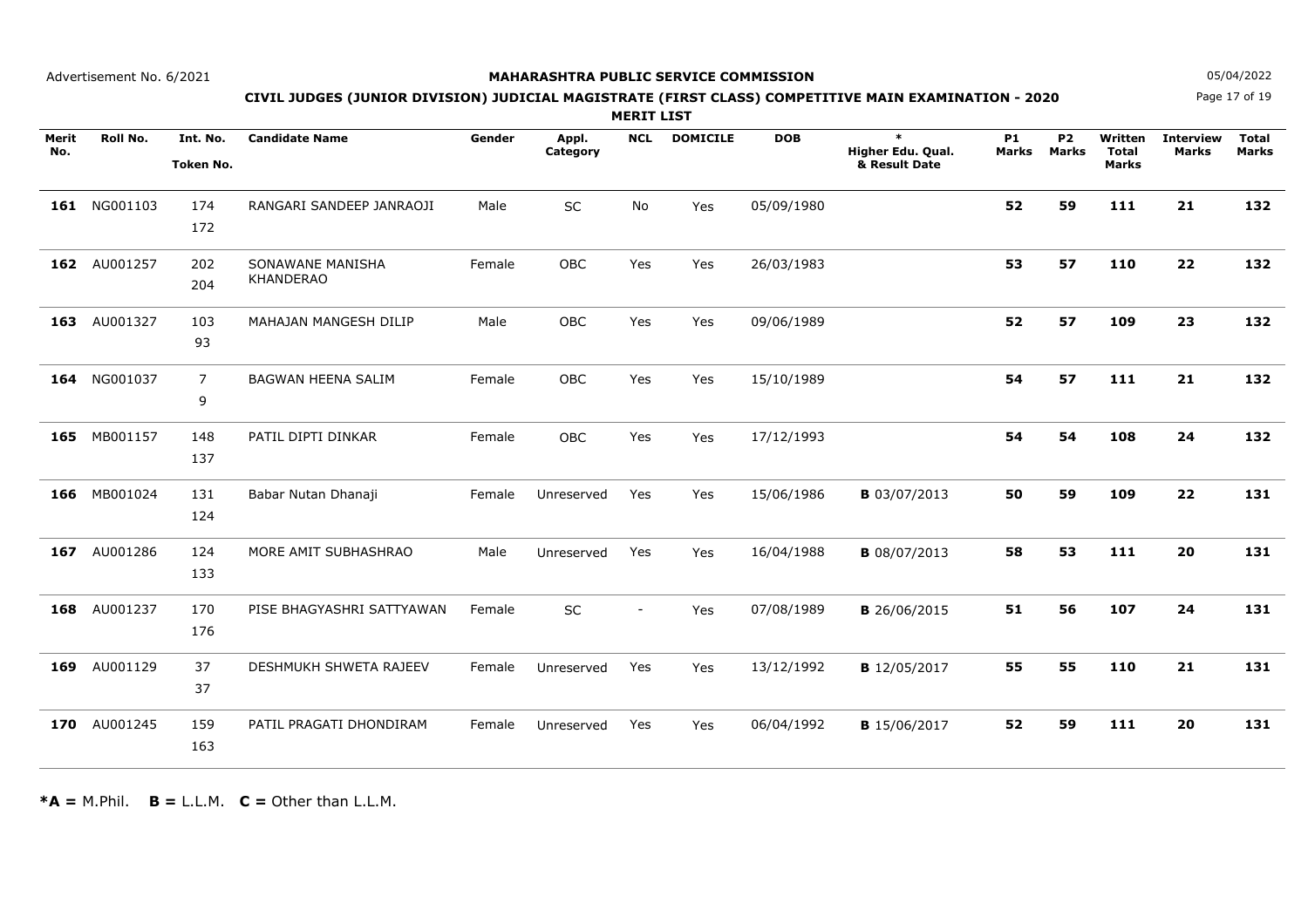### **MAHARASHTRA PUBLIC SERVICE COMMISSION**

Page 17 of 19**N** 05/04/2022

# **CIVIL JUDGES (JUNIOR DIVISION) JUDICIAL MAGISTRATE (FIRST CLASS) COMPETITIVE MAIN EXAMINATION - 2020**

**MERIT LIST**

| Merit<br>No. | Roll No.     | Int. No.<br>Token No. | <b>Candidate Name</b>                | Gender | Appl.<br>Category | <b>NCL</b>     | <b>DOMICILE</b> | <b>DOB</b> | $\ast$<br>Higher Edu. Qual.<br>& Result Date | <b>P1</b><br><b>Marks</b> | <b>P2</b><br><b>Marks</b> | Written<br><b>Total</b><br><b>Marks</b> | <b>Interview</b><br><b>Marks</b> | <b>Total</b><br><b>Marks</b> |
|--------------|--------------|-----------------------|--------------------------------------|--------|-------------------|----------------|-----------------|------------|----------------------------------------------|---------------------------|---------------------------|-----------------------------------------|----------------------------------|------------------------------|
|              | 161 NG001103 | 174<br>172            | RANGARI SANDEEP JANRAOJI             | Male   | SC                | No             | Yes             | 05/09/1980 |                                              | 52                        | 59                        | 111                                     | 21                               | 132                          |
| 162          | AU001257     | 202<br>204            | SONAWANE MANISHA<br><b>KHANDERAO</b> | Female | OBC               | Yes            | Yes             | 26/03/1983 |                                              | 53                        | 57                        | 110                                     | 22                               | 132                          |
| 163          | AU001327     | 103<br>93             | MAHAJAN MANGESH DILIP                | Male   | <b>OBC</b>        | Yes            | Yes             | 09/06/1989 |                                              | 52                        | 57                        | 109                                     | 23                               | 132                          |
|              | 164 NG001037 | 7<br>9                | BAGWAN HEENA SALIM                   | Female | <b>OBC</b>        | Yes            | Yes             | 15/10/1989 |                                              | 54                        | 57                        | 111                                     | 21                               | 132                          |
| 165          | MB001157     | 148<br>137            | PATIL DIPTI DINKAR                   | Female | <b>OBC</b>        | Yes            | Yes             | 17/12/1993 |                                              | 54                        | 54                        | 108                                     | 24                               | 132                          |
| 166          | MB001024     | 131<br>124            | Babar Nutan Dhanaji                  | Female | Unreserved        | Yes            | Yes             | 15/06/1986 | <b>B</b> 03/07/2013                          | 50                        | 59                        | 109                                     | 22                               | 131                          |
| 167          | AU001286     | 124<br>133            | MORE AMIT SUBHASHRAO                 | Male   | Unreserved        | Yes            | Yes             | 16/04/1988 | <b>B</b> 08/07/2013                          | 58                        | 53                        | 111                                     | 20                               | 131                          |
| 168          | AU001237     | 170<br>176            | PISE BHAGYASHRI SATTYAWAN            | Female | SC                | $\overline{a}$ | Yes             | 07/08/1989 | <b>B</b> 26/06/2015                          | 51                        | 56                        | 107                                     | 24                               | 131                          |
| 169          | AU001129     | 37<br>37              | DESHMUKH SHWETA RAJEEV               | Female | Unreserved        | Yes            | Yes             | 13/12/1992 | <b>B</b> 12/05/2017                          | 55                        | 55                        | 110                                     | 21                               | 131                          |
| 170          | AU001245     | 159<br>163            | PATIL PRAGATI DHONDIRAM              | Female | Unreserved        | Yes            | Yes             | 06/04/1992 | <b>B</b> 15/06/2017                          | 52                        | 59                        | 111                                     | 20                               | 131                          |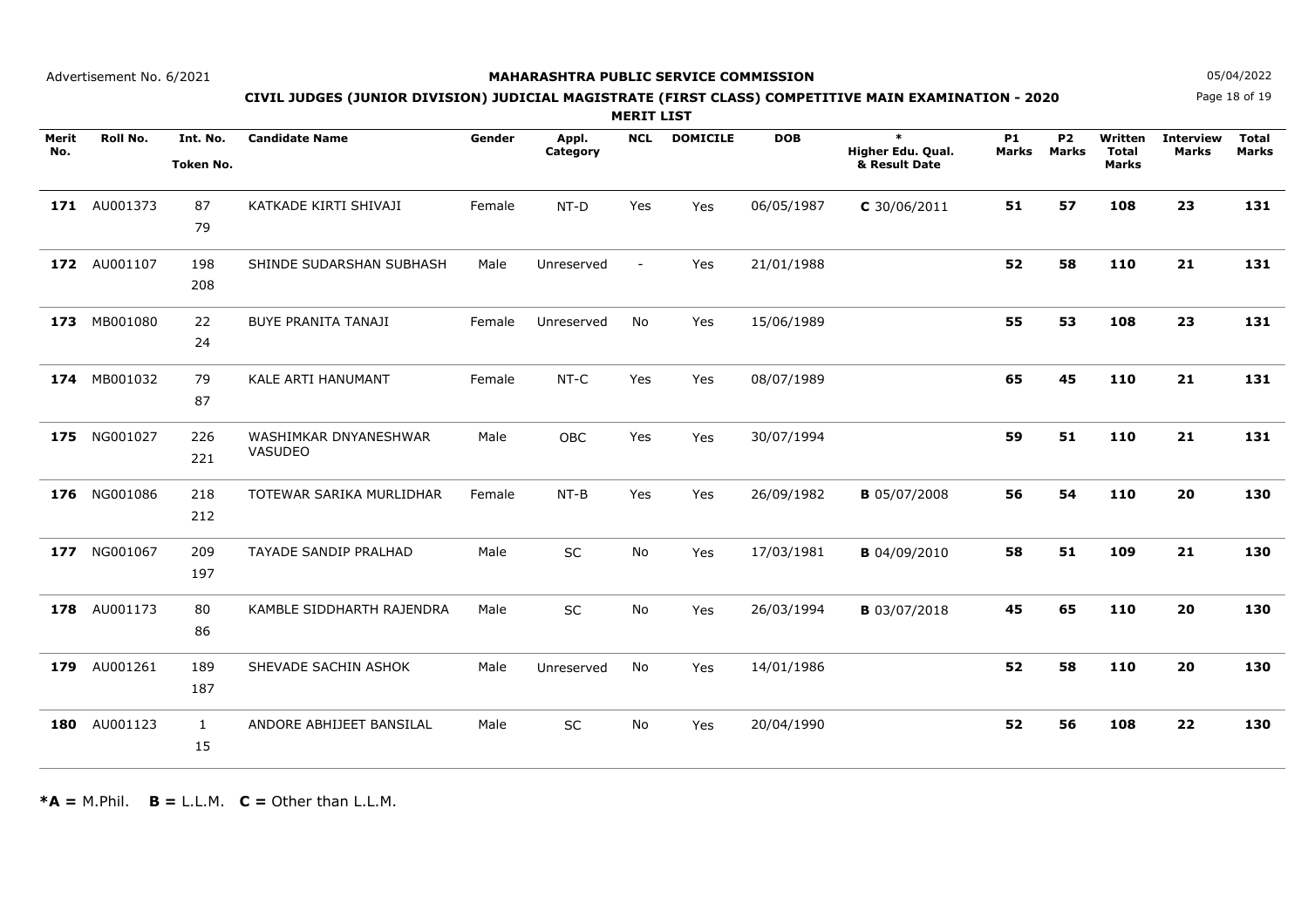### **MAHARASHTRA PUBLIC SERVICE COMMISSION**

Page 18 of 19**N** 05/04/2022

# **CIVIL JUDGES (JUNIOR DIVISION) JUDICIAL MAGISTRATE (FIRST CLASS) COMPETITIVE MAIN EXAMINATION - 2020**

**MERIT LIST**

| Merit<br>No. | <b>Roll No.</b> | Int. No.         | <b>Candidate Name</b>      | Gender | Appl.<br>Category | <b>NCL</b>     | <b>DOMICILE</b> | <b>DOB</b> | $\ast$<br>Higher Edu. Qual. | <b>P1</b><br>Marks | <b>P2</b><br><b>Marks</b> | Written<br><b>Total</b> | <b>Interview</b><br><b>Marks</b> | <b>Total</b><br><b>Marks</b> |
|--------------|-----------------|------------------|----------------------------|--------|-------------------|----------------|-----------------|------------|-----------------------------|--------------------|---------------------------|-------------------------|----------------------------------|------------------------------|
|              |                 | <b>Token No.</b> |                            |        |                   |                |                 |            | & Result Date               |                    |                           | <b>Marks</b>            |                                  |                              |
|              |                 |                  |                            |        |                   |                |                 |            |                             |                    |                           |                         |                                  |                              |
|              | 171 AU001373    | 87               | KATKADE KIRTI SHIVAJI      | Female | NT-D              | Yes            | Yes             | 06/05/1987 | $C$ 30/06/2011              | 51                 | 57                        | 108                     | 23                               | 131                          |
|              |                 | 79               |                            |        |                   |                |                 |            |                             |                    |                           |                         |                                  |                              |
|              |                 |                  |                            |        |                   |                |                 |            |                             |                    |                           |                         |                                  |                              |
| 172          | AU001107        | 198              | SHINDE SUDARSHAN SUBHASH   | Male   | Unreserved        | $\blacksquare$ | Yes             | 21/01/1988 |                             | 52                 | 58                        | 110                     | 21                               | 131                          |
|              |                 | 208              |                            |        |                   |                |                 |            |                             |                    |                           |                         |                                  |                              |
|              |                 |                  |                            |        |                   |                |                 |            |                             |                    |                           |                         |                                  |                              |
| 173          | MB001080        | 22               | <b>BUYE PRANITA TANAJI</b> | Female | Unreserved        | No             | Yes             | 15/06/1989 |                             | 55                 | 53                        | 108                     | 23                               | 131                          |
|              |                 | 24               |                            |        |                   |                |                 |            |                             |                    |                           |                         |                                  |                              |
|              |                 |                  |                            |        |                   |                |                 |            |                             |                    |                           |                         |                                  |                              |
| 174          | MB001032        | 79               | KALE ARTI HANUMANT         | Female | NT-C              | Yes            | Yes             | 08/07/1989 |                             | 65                 | 45                        | 110                     | 21                               | 131                          |
|              |                 | 87               |                            |        |                   |                |                 |            |                             |                    |                           |                         |                                  |                              |
| 175          | NG001027        | 226              | WASHIMKAR DNYANESHWAR      | Male   | OBC               | Yes            | Yes             | 30/07/1994 |                             | 59                 | 51                        | 110                     | 21                               | 131                          |
|              |                 | 221              | VASUDEO                    |        |                   |                |                 |            |                             |                    |                           |                         |                                  |                              |
|              |                 |                  |                            |        |                   |                |                 |            |                             |                    |                           |                         |                                  |                              |
|              | 176 NG001086    | 218              | TOTEWAR SARIKA MURLIDHAR   | Female | $NT-B$            | Yes            | Yes             | 26/09/1982 | <b>B</b> 05/07/2008         | 56                 | 54                        | 110                     | 20                               | 130                          |
|              |                 | 212              |                            |        |                   |                |                 |            |                             |                    |                           |                         |                                  |                              |
|              |                 |                  |                            |        |                   |                |                 |            |                             |                    |                           |                         |                                  |                              |
| 177          | NG001067        | 209              | TAYADE SANDIP PRALHAD      | Male   | <b>SC</b>         | No             | Yes             | 17/03/1981 | <b>B</b> 04/09/2010         | 58                 | 51                        | 109                     | 21                               | 130                          |
|              |                 | 197              |                            |        |                   |                |                 |            |                             |                    |                           |                         |                                  |                              |
|              |                 |                  |                            |        |                   |                |                 |            |                             |                    |                           |                         |                                  |                              |
| 178          | AU001173        | 80               | KAMBLE SIDDHARTH RAJENDRA  | Male   | SC                | No             | Yes             | 26/03/1994 | <b>B</b> 03/07/2018         | 45                 | 65                        | 110                     | 20                               | 130                          |
|              |                 | 86               |                            |        |                   |                |                 |            |                             |                    |                           |                         |                                  |                              |
| 179          | AU001261        | 189              | SHEVADE SACHIN ASHOK       | Male   | Unreserved        | <b>No</b>      | Yes             | 14/01/1986 |                             | 52                 | 58                        | 110                     | 20                               | 130                          |
|              |                 |                  |                            |        |                   |                |                 |            |                             |                    |                           |                         |                                  |                              |
|              |                 | 187              |                            |        |                   |                |                 |            |                             |                    |                           |                         |                                  |                              |
| 180          | AU001123        | $\mathbf{1}$     | ANDORE ABHIJEET BANSILAL   | Male   | <b>SC</b>         | <b>No</b>      | Yes             | 20/04/1990 |                             | 52                 | 56                        | 108                     | 22                               | 130                          |
|              |                 | 15               |                            |        |                   |                |                 |            |                             |                    |                           |                         |                                  |                              |
|              |                 |                  |                            |        |                   |                |                 |            |                             |                    |                           |                         |                                  |                              |